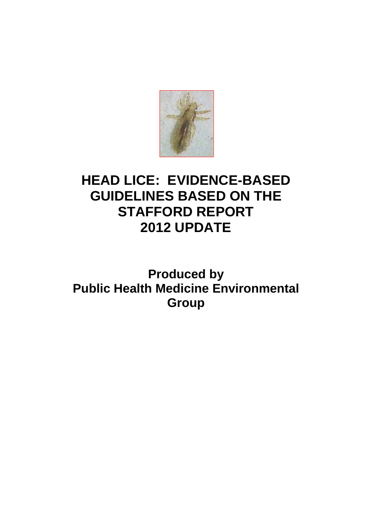

# **HEAD LICE: EVIDENCE-BASED GUIDELINES BASED ON THE STAFFORD REPORT 2012 UPDATE**

**Produced by Public Health Medicine Environmental Group**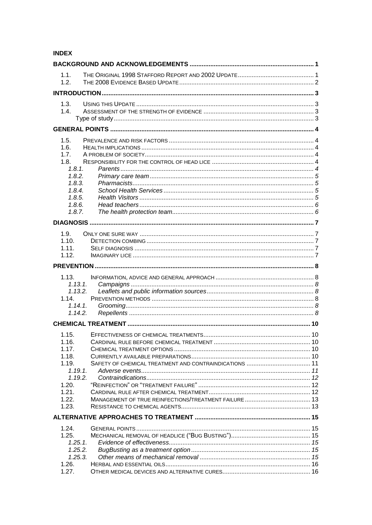# **INDEX**

| 1.1.<br>1.2.          |  |
|-----------------------|--|
|                       |  |
| 1.3.<br>1.4.          |  |
|                       |  |
| 1.5.                  |  |
| 1.6.                  |  |
| 1.7.                  |  |
| 1.8.<br>1.8.1.        |  |
| 1.8.2.                |  |
| 1.8.3.                |  |
| 1.8.4.                |  |
| 1.8.5.                |  |
| 1.8.6.                |  |
| 1.8.7.                |  |
|                       |  |
| 1.9.                  |  |
| 1.10.                 |  |
| 1.11.                 |  |
| 1.12.                 |  |
|                       |  |
|                       |  |
| 1.13.                 |  |
| 1.13.1.               |  |
| 1.13.2.               |  |
| 1.14.                 |  |
| $1.14.1$ .<br>1.14.2. |  |
|                       |  |
|                       |  |
| 1.15.                 |  |
| 1.16.                 |  |
| 1.17.                 |  |
| 1.18.                 |  |
| 1.19.<br>1.19.1.      |  |
| 1.19.2.               |  |
| 1.20.                 |  |
| 1.21.                 |  |
| 1.22.                 |  |
| 1.23.                 |  |
|                       |  |
| 1.24.                 |  |
| 1.25.                 |  |
| 1.25.1.               |  |
| 1.25.2.               |  |
| 1.25.3.               |  |
| 1.26.                 |  |
| 1.27.                 |  |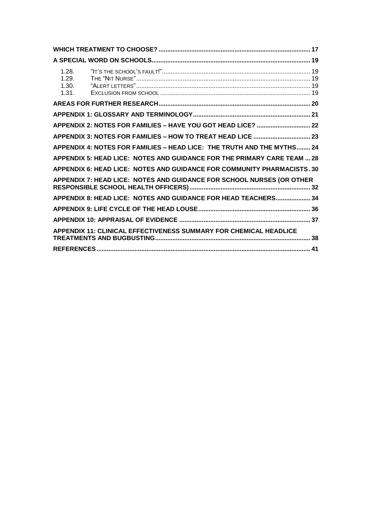| 1.28.<br>1.29.<br>1.30.<br>1.31. |                                                                          |  |
|----------------------------------|--------------------------------------------------------------------------|--|
|                                  |                                                                          |  |
|                                  |                                                                          |  |
|                                  | APPENDIX 2: NOTES FOR FAMILIES - HAVE YOU GOT HEAD LICE?  22             |  |
|                                  | APPENDIX 3: NOTES FOR FAMILIES - HOW TO TREAT HEAD LICE  23              |  |
|                                  | APPENDIX 4: NOTES FOR FAMILIES - HEAD LICE: THE TRUTH AND THE MYTHS 24   |  |
|                                  | APPENDIX 5: HEAD LICE: NOTES AND GUIDANCE FOR THE PRIMARY CARE TEAM  28  |  |
|                                  | APPENDIX 6: HEAD LICE: NOTES AND GUIDANCE FOR COMMUNITY PHARMACISTS. 30  |  |
|                                  | APPENDIX 7: HEAD LICE: NOTES AND GUIDANCE FOR SCHOOL NURSES (OR OTHER    |  |
|                                  | APPENDIX 8: HEAD LICE: NOTES AND GUIDANCE FOR HEAD TEACHERS 34           |  |
|                                  |                                                                          |  |
|                                  |                                                                          |  |
|                                  | <b>APPENDIX 11: CLINICAL EFFECTIVENESS SUMMARY FOR CHEMICAL HEADLICE</b> |  |
|                                  |                                                                          |  |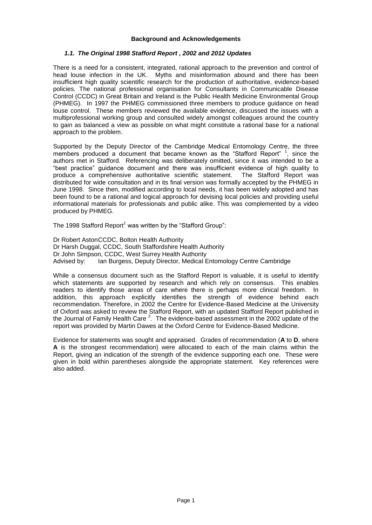#### **Background and Acknowledgements**

# <span id="page-3-1"></span><span id="page-3-0"></span>*1.1. The Original 1998 Stafford Report , 2002 and 2012 Updates*

There is a need for a consistent, integrated, rational approach to the prevention and control of head louse infection in the UK. Myths and misinformation abound and there has been insufficient high quality scientific research for the production of authoritative, evidence-based policies. The national professional organisation for Consultants in Communicable Disease Control (CCDC) in Great Britain and Ireland is the Public Health Medicine Environmental Group (PHMEG). In 1997 the PHMEG commissioned three members to produce guidance on head louse control. These members reviewed the available evidence, discussed the issues with a multiprofessional working group and consulted widely amongst colleagues around the country to gain as balanced a view as possible on what might constitute a rational base for a national approach to the problem.

Supported by the Deputy Director of the Cambridge Medical Entomology Centre, the three members produced a document that became known as the "Stafford Report" <sup>1</sup>, since the authors met in Stafford. Referencing was deliberately omitted, since it was intended to be a "best practice" guidance document and there was insufficient evidence of high quality to produce a comprehensive authoritative scientific statement. The Stafford Report was distributed for wide consultation and in its final version was formally accepted by the PHMEG in June 1998. Since then, modified according to local needs, it has been widely adopted and has been found to be a rational and logical approach for devising local policies and providing useful informational materials for professionals and public alike. This was complemented by a video produced by PHMEG.

The 1998 Stafford Report<sup>1</sup> was written by the "Stafford Group":

Dr Robert AstonCCDC, Bolton Health Authority Dr Harsh Duggal, CCDC, South Staffordshire Health Authority Dr John Simpson, CCDC, West Surrey Health Authority Advised by: Ian Burgess, Deputy Director, Medical Entomology Centre Cambridge

While a consensus document such as the Stafford Report is valuable, it is useful to identify which statements are supported by research and which rely on consensus. This enables readers to identify those areas of care where there is perhaps more clinical freedom. In addition, this approach explicitly identifies the strength of evidence behind each recommendation. Therefore, in 2002 the Centre for Evidence-Based Medicine at the University of Oxford was asked to review the Stafford Report, with an updated Stafford Report published in the Journal of Family Health Care  $^2$ . The evidence-based assessment in the 2002 update of the report was provided by Martin Dawes at the Oxford Centre for Evidence-Based Medicine.

Evidence for statements was sought and appraised. Grades of recommendation (**A** to **D**, where **A** is the strongest recommendation) were allocated to each of the main claims within the Report, giving an indication of the strength of the evidence supporting each one. These were given in bold within parentheses alongside the appropriate statement. Key references were also added.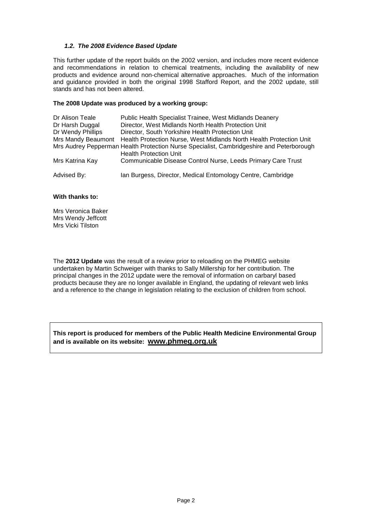# <span id="page-4-0"></span>*1.2. The 2008 Evidence Based Update*

This further update of the report builds on the 2002 version, and includes more recent evidence and recommendations in relation to chemical treatments, including the availability of new products and evidence around non-chemical alternative approaches. Much of the information and guidance provided in both the original 1998 Stafford Report, and the 2002 update, still stands and has not been altered.

#### **The 2008 Update was produced by a working group:**

| Dr Alison Teale    | Public Health Specialist Trainee, West Midlands Deanery                                                                   |
|--------------------|---------------------------------------------------------------------------------------------------------------------------|
| Dr Harsh Duggal    | Director, West Midlands North Health Protection Unit                                                                      |
| Dr Wendy Phillips  | Director, South Yorkshire Health Protection Unit                                                                          |
| Mrs Mandy Beaumont | Health Protection Nurse, West Midlands North Health Protection Unit                                                       |
|                    | Mrs Audrey Pepperman Health Protection Nurse Specialist, Cambridgeshire and Peterborough<br><b>Health Protection Unit</b> |
| Mrs Katrina Kay    | Communicable Disease Control Nurse, Leeds Primary Care Trust                                                              |
| Advised By:        | Ian Burgess, Director, Medical Entomology Centre, Cambridge                                                               |

## **With thanks to:**

Mrs Veronica Baker Mrs Wendy Jeffcott Mrs Vicki Tilston

The **2012 Update** was the result of a review prior to reloading on the PHMEG website undertaken by Martin Schweiger with thanks to Sally Millership for her contribution. The principal changes in the 2012 update were the removal of information on carbaryl based products because they are no longer available in England, the updating of relevant web links and a reference to the change in legislation relating to the exclusion of children from school.

**This report is produced for members of the Public Health Medicine Environmental Group and is available on its website: www.phmeg.org.uk**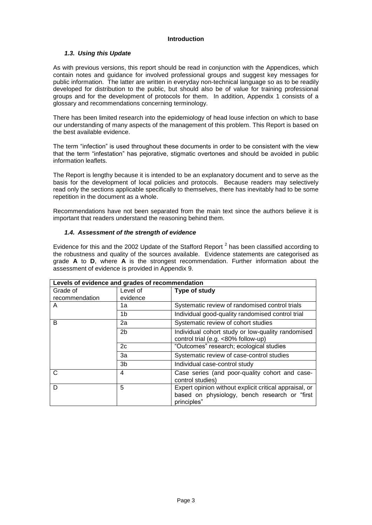# **Introduction**

# <span id="page-5-1"></span><span id="page-5-0"></span>*1.3. Using this Update*

As with previous versions, this report should be read in conjunction with the Appendices, which contain notes and guidance for involved professional groups and suggest key messages for public information. The latter are written in everyday non-technical language so as to be readily developed for distribution to the public, but should also be of value for training professional groups and for the development of protocols for them. In addition, Appendix 1 consists of a glossary and recommendations concerning terminology.

There has been limited research into the epidemiology of head louse infection on which to base our understanding of many aspects of the management of this problem. This Report is based on the best available evidence.

The term "infection" is used throughout these documents in order to be consistent with the view that the term "infestation" has pejorative, stigmatic overtones and should be avoided in public information leaflets.

The Report is lengthy because it is intended to be an explanatory document and to serve as the basis for the development of local policies and protocols. Because readers may selectively read only the sections applicable specifically to themselves, there has inevitably had to be some repetition in the document as a whole.

Recommendations have not been separated from the main text since the authors believe it is important that readers understand the reasoning behind them.

# <span id="page-5-3"></span><span id="page-5-2"></span>*1.4. Assessment of the strength of evidence*

Evidence for this and the 2002 Update of the Stafford Report  $^2$  has been classified according to the robustness and quality of the sources available. Evidence statements are categorised as grade **A** to **D**, where **A** is the strongest recommendation. Further information about the assessment of evidence is provided in Appendix 9.

|                | Levels of evidence and grades of recommendation |                                                                                                                        |  |  |  |  |
|----------------|-------------------------------------------------|------------------------------------------------------------------------------------------------------------------------|--|--|--|--|
| Grade of       | Level of                                        | Type of study                                                                                                          |  |  |  |  |
| recommendation | evidence                                        |                                                                                                                        |  |  |  |  |
| A              | 1a                                              | Systematic review of randomised control trials                                                                         |  |  |  |  |
|                | 1b                                              | Individual good-quality randomised control trial                                                                       |  |  |  |  |
| B              | 2a                                              | Systematic review of cohort studies                                                                                    |  |  |  |  |
|                | 2 <sub>b</sub>                                  | Individual cohort study or low-quality randomised<br>control trial (e.g. <80% follow-up)                               |  |  |  |  |
|                | 2c                                              | "Outcomes" research; ecological studies                                                                                |  |  |  |  |
|                | За                                              | Systematic review of case-control studies                                                                              |  |  |  |  |
|                | 3b                                              | Individual case-control study                                                                                          |  |  |  |  |
| C              | 4                                               | Case series (and poor-quality cohort and case-<br>control studies)                                                     |  |  |  |  |
| D              | 5                                               | Expert opinion without explicit critical appraisal, or<br>based on physiology, bench research or "first<br>principles" |  |  |  |  |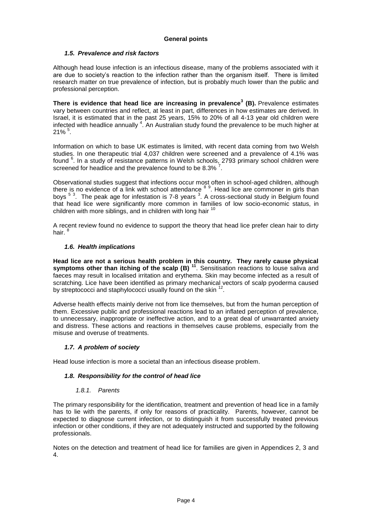# **General points**

# <span id="page-6-1"></span><span id="page-6-0"></span>*1.5. Prevalence and risk factors*

Although head louse infection is an infectious disease, many of the problems associated with it are due to society's reaction to the infection rather than the organism itself. There is limited research matter on true prevalence of infection, but is probably much lower than the public and professional perception.

**There is evidence that head lice are increasing in prevalence<sup>3</sup> (B).** Prevalence estimates vary between countries and reflect, at least in part, differences in how estimates are derived. In Israel, it is estimated that in the past 25 years, 15% to 20% of all 4-13 year old children were infected with headlice annually <sup>4</sup>. An Australian study found the prevalence to be much higher at  $21\%$   $^{5}$ .

Information on which to base UK estimates is limited, with recent data coming from two Welsh studies. In one therapeutic trial 4,037 children were screened and a prevalence of 4.1% was found <sup>6</sup>. In a study of resistance patterns in Welsh schools, 2793 primary school children were screened for headlice and the prevalence found to be  $8.3\%$ .

Observational studies suggest that infections occur most often in school-aged children, although there is no evidence of a link with school attendance <sup>8 9</sup>. Head lice are commoner in girls than boys <sup>5 3</sup>. The peak age for infestation is 7-8 years <sup>3</sup>. A cross-sectional study in Belgium found that head lice were significantly more common in families of low socio-economic status, in children with more siblings, and in children with long hair  $<sup>1</sup>$ </sup>

A recent review found no evidence to support the theory that head lice prefer clean hair to dirty hair.

# <span id="page-6-2"></span>*1.6. Health implications*

**Head lice are not a serious health problem in this country. They rarely cause physical symptoms other than itching of the scalp (B) <sup>11</sup>. Sensitisation reactions to louse saliva and** faeces may result in localised irritation and erythema. Skin may become infected as a result of scratching. Lice have been identified as primary mechanical vectors of scalp pyoderma caused by streptococci and staphylococci usually found on the skin <sup>12</sup>.

Adverse health effects mainly derive not from lice themselves, but from the human perception of them. Excessive public and professional reactions lead to an inflated perception of prevalence, to unnecessary, inappropriate or ineffective action, and to a great deal of unwarranted anxiety and distress. These actions and reactions in themselves cause problems, especially from the misuse and overuse of treatments.

# <span id="page-6-3"></span>*1.7. A problem of society*

Head louse infection is more a societal than an infectious disease problem.

# <span id="page-6-4"></span>*1.8. Responsibility for the control of head lice*

#### *1.8.1. Parents*

<span id="page-6-5"></span>The primary responsibility for the identification, treatment and prevention of head lice in a family has to lie with the parents, if only for reasons of practicality. Parents, however, cannot be expected to diagnose current infection, or to distinguish it from successfully treated previous infection or other conditions, if they are not adequately instructed and supported by the following professionals.

Notes on the detection and treatment of head lice for families are given in Appendices 2, 3 and 4.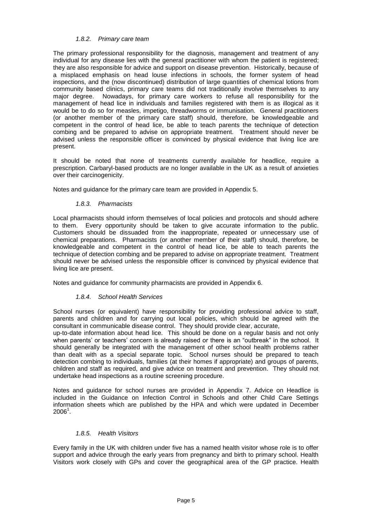# *1.8.2. Primary care team*

<span id="page-7-0"></span>The primary professional responsibility for the diagnosis, management and treatment of any individual for any disease lies with the general practitioner with whom the patient is registered; they are also responsible for advice and support on disease prevention. Historically, because of a misplaced emphasis on head louse infections in schools, the former system of head inspections, and the (now discontinued) distribution of large quantities of chemical lotions from community based clinics, primary care teams did not traditionally involve themselves to any major degree. Nowadays, for primary care workers to refuse all responsibility for the management of head lice in individuals and families registered with them is as illogical as it would be to do so for measles, impetigo, threadworms or immunisation. General practitioners (or another member of the primary care staff) should, therefore, be knowledgeable and competent in the control of head lice, be able to teach parents the technique of detection combing and be prepared to advise on appropriate treatment. Treatment should never be advised unless the responsible officer is convinced by physical evidence that living lice are present.

It should be noted that none of treatments currently available for headlice, require a prescription. Carbaryl-based products are no longer available in the UK as a result of anxieties over their carcinogenicity.

Notes and guidance for the primary care team are provided in Appendix 5.

# *1.8.3. Pharmacists*

<span id="page-7-1"></span>Local pharmacists should inform themselves of local policies and protocols and should adhere to them. Every opportunity should be taken to give accurate information to the public. Customers should be dissuaded from the inappropriate, repeated or unnecessary use of chemical preparations. Pharmacists (or another member of their staff) should, therefore, be knowledgeable and competent in the control of head lice, be able to teach parents the technique of detection combing and be prepared to advise on appropriate treatment. Treatment should never be advised unless the responsible officer is convinced by physical evidence that living lice are present.

<span id="page-7-2"></span>Notes and guidance for community pharmacists are provided in Appendix 6.

# *1.8.4. School Health Services*

School nurses (or equivalent) have responsibility for providing professional advice to staff, parents and children and for carrying out local policies, which should be agreed with the consultant in communicable disease control. They should provide clear, accurate,

up-to-date information about head lice. This should be done on a regular basis and not only when parents' or teachers' concern is already raised or there is an "outbreak" in the school. It should generally be integrated with the management of other school health problems rather than dealt with as a special separate topic. School nurses should be prepared to teach detection combing to individuals, families (at their homes if appropriate) and groups of parents, children and staff as required, and give advice on treatment and prevention. They should not undertake head inspections as a routine screening procedure.

Notes and guidance for school nurses are provided in Appendix 7. Advice on Headlice is included in the Guidance on Infection Control in Schools and other Child Care Settings information sheets which are published by the HPA and which were updated in December  $2006<sup>1</sup>$ .

# *1.8.5. Health Visitors*

<span id="page-7-3"></span>Every family in the UK with children under five has a named health visitor whose role is to offer support and advice through the early years from pregnancy and birth to primary school. Health Visitors work closely with GPs and cover the geographical area of the GP practice. Health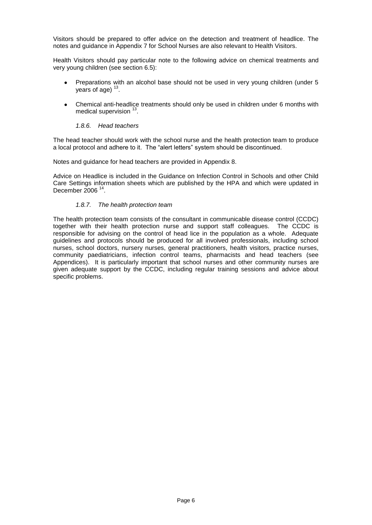Visitors should be prepared to offer advice on the detection and treatment of headlice. The notes and guidance in Appendix 7 for School Nurses are also relevant to Health Visitors.

Health Visitors should pay particular note to the following advice on chemical treatments and very young children (see section 6.5):

- Preparations with an alcohol base should not be used in very young children (under 5 years of age)  $13$ .
- Chemical anti-headlice treatments should only be used in children under 6 months with medical supervision <sup>13</sup>.

# *1.8.6. Head teachers*

<span id="page-8-0"></span>The head teacher should work with the school nurse and the health protection team to produce a local protocol and adhere to it. The "alert letters" system should be discontinued.

Notes and guidance for head teachers are provided in Appendix 8.

Advice on Headlice is included in the Guidance on Infection Control in Schools and other Child Care Settings information sheets which are published by the HPA and which were updated in December 2006<sup>14</sup>.

# *1.8.7. The health protection team*

<span id="page-8-1"></span>The health protection team consists of the consultant in communicable disease control (CCDC) together with their health protection nurse and support staff colleagues. The CCDC is responsible for advising on the control of head lice in the population as a whole. Adequate guidelines and protocols should be produced for all involved professionals, including school nurses, school doctors, nursery nurses, general practitioners, health visitors, practice nurses, community paediatricians, infection control teams, pharmacists and head teachers (see Appendices). It is particularly important that school nurses and other community nurses are given adequate support by the CCDC, including regular training sessions and advice about specific problems.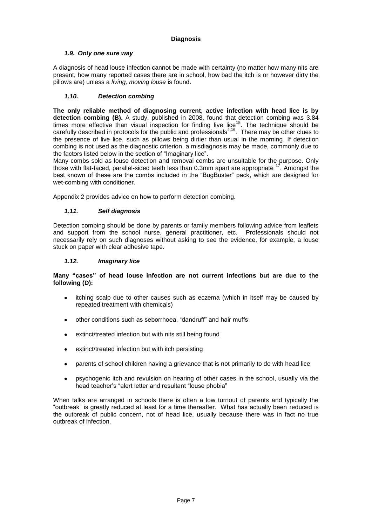# **Diagnosis**

# <span id="page-9-1"></span><span id="page-9-0"></span>*1.9. Only one sure way*

A diagnosis of head louse infection cannot be made with certainty (no matter how many nits are present, how many reported cases there are in school, how bad the itch is or however dirty the pillows are) unless a *living, moving louse* is found.

# <span id="page-9-2"></span>*1.10. Detection combing*

**The only reliable method of diagnosing current, active infection with head lice is by detection combing (B).** A study, published in 2008, found that detection combing was 3.84 times more effective than visual inspection for finding live lice<sup>15</sup>. The technique should be carefully described in protocols for the public and professionals<sup>4;16</sup>. There may be other clues to the presence of live lice, such as pillows being dirtier than usual in the morning. If detection combing is not used as the diagnostic criterion, a misdiagnosis may be made, commonly due to the factors listed below in the section of "Imaginary lice".

Many combs sold as louse detection and removal combs are unsuitable for the purpose. Only those with flat-faced, parallel-sided teeth less than 0.3mm apart are appropriate <sup>17</sup>. Amongst the best known of these are the combs included in the "BugBuster" pack, which are designed for wet-combing with conditioner.

Appendix 2 provides advice on how to perform detection combing.

# <span id="page-9-3"></span>*1.11. Self diagnosis*

Detection combing should be done by parents or family members following advice from leaflets and support from the school nurse, general practitioner, etc. Professionals should not necessarily rely on such diagnoses without asking to see the evidence, for example, a louse stuck on paper with clear adhesive tape.

# <span id="page-9-4"></span>*1.12. Imaginary lice*

# **Many "cases" of head louse infection are not current infections but are due to the following (D):**

- itching scalp due to other causes such as eczema (which in itself may be caused by  $\bullet$ repeated treatment with chemicals)
- other conditions such as seborrhoea, "dandruff" and hair muffs
- extinct/treated infection but with nits still being found
- extinct/treated infection but with itch persisting  $\bullet$
- parents of school children having a grievance that is not primarily to do with head lice
- psychogenic itch and revulsion on hearing of other cases in the school, usually via the head teacher's "alert letter and resultant "louse phobia"

When talks are arranged in schools there is often a low turnout of parents and typically the "outbreak" is greatly reduced at least for a time thereafter. What has actually been reduced is the outbreak of public concern, not of head lice, usually because there was in fact no true outbreak of infection.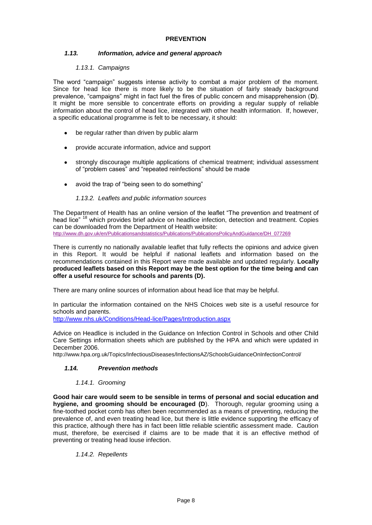# **PREVENTION**

# <span id="page-10-1"></span><span id="page-10-0"></span>*1.13. Information, advice and general approach*

# *1.13.1. Campaigns*

<span id="page-10-2"></span>The word "campaign" suggests intense activity to combat a major problem of the moment. Since for head lice there is more likely to be the situation of fairly steady background prevalence, "campaigns" might in fact fuel the fires of public concern and misapprehension (**D**). It might be more sensible to concentrate efforts on providing a regular supply of reliable information about the control of head lice, integrated with other health information. If, however, a specific educational programme is felt to be necessary, it should:

- be regular rather than driven by public alarm
- provide accurate information, advice and support
- strongly discourage multiple applications of chemical treatment; individual assessment of "problem cases" and "repeated reinfections" should be made
- avoid the trap of "being seen to do something"

# *1.13.2. Leaflets and public information sources*

<span id="page-10-3"></span>The Department of Health has an online version of the leaflet "The prevention and treatment of head lice"<sup>18</sup> which provides brief advice on headlice infection, detection and treatment. Copies can be downloaded from the Department of Health website: [http://www.dh.gov.uk/en/Publicationsandstatistics/Publications/PublicationsPolicyAndGuidance/DH\\_077269](http://www.dh.gov.uk/en/Publicationsandstatistics/Publications/PublicationsPolicyAndGuidance/DH_077269)

There is currently no nationally available leaflet that fully reflects the opinions and advice given in this Report. It would be helpful if national leaflets and information based on the recommendations contained in this Report were made available and updated regularly. **Locally produced leaflets based on this Report may be the best option for the time being and can offer a useful resource for schools and parents (D).**

There are many online sources of information about head lice that may be helpful.

In particular the information contained on the NHS Choices web site is a useful resource for schools and parents.

<http://www.nhs.uk/Conditions/Head-lice/Pages/Introduction.aspx>

Advice on Headlice is included in the Guidance on Infection Control in Schools and other Child Care Settings information sheets which are published by the HPA and which were updated in December 2006.

http://www.hpa.org.uk/Topics/InfectiousDiseases/InfectionsAZ/SchoolsGuidanceOnInfectionControl/

# <span id="page-10-4"></span>*1.14. Prevention methods*

# *1.14.1. Grooming*

<span id="page-10-5"></span>**Good hair care would seem to be sensible in terms of personal and social education and hygiene, and grooming should be encouraged (D**). Thorough, regular grooming using a fine-toothed pocket comb has often been recommended as a means of preventing, reducing the prevalence of, and even treating head lice, but there is little evidence supporting the efficacy of this practice, although there has in fact been little reliable scientific assessment made. Caution must, therefore, be exercised if claims are to be made that it is an effective method of preventing or treating head louse infection.

# <span id="page-10-6"></span>*1.14.2. Repellents*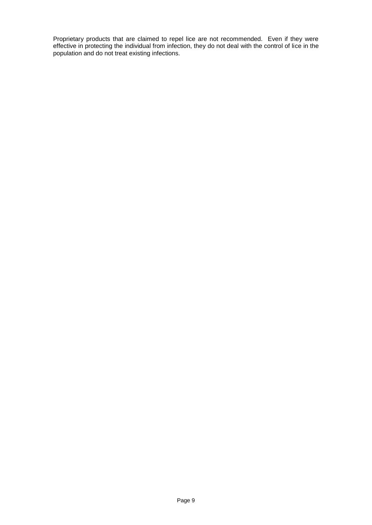Proprietary products that are claimed to repel lice are not recommended. Even if they were effective in protecting the individual from infection, they do not deal with the control of lice in the population and do not treat existing infections.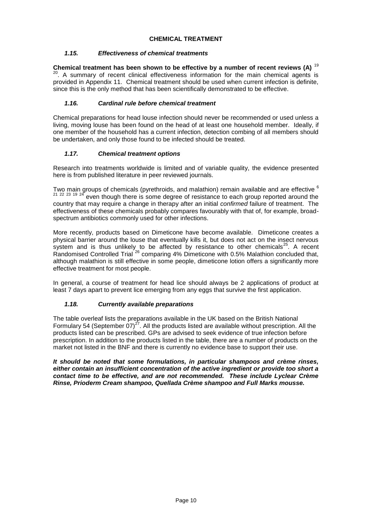# <span id="page-12-1"></span><span id="page-12-0"></span>*1.15. Effectiveness of chemical treatments*

**Chemical treatment has been shown to be effective by a number of recent reviews (A)** <sup>19</sup>  $\Omega$ . A summary of recent clinical effectiveness information for the main chemical agents is provided in Appendix 11. Chemical treatment should be used when current infection is definite, since this is the only method that has been scientifically demonstrated to be effective.

# <span id="page-12-2"></span>*1.16. Cardinal rule before chemical treatment*

Chemical preparations for head louse infection should never be recommended or used unless a living, moving louse has been found on the head of at least one household member. Ideally, if one member of the household has a current infection, detection combing of all members should be undertaken, and only those found to be infected should be treated.

# <span id="page-12-3"></span>*1.17. Chemical treatment options*

Research into treatments worldwide is limited and of variable quality, the evidence presented here is from published literature in peer reviewed journals.

Two main groups of chemicals (pyrethroids, and malathion) remain available and are effective <sup>6</sup> even though there is some degree of resistance to each group reported around the country that may require a change in therapy after an initial *confirmed* failure of treatment. The effectiveness of these chemicals probably compares favourably with that of, for example, broadspectrum antibiotics commonly used for other infections.

More recently, products based on Dimeticone have become available. Dimeticone creates a physical barrier around the louse that eventually kills it, but does not act on the insect nervous system and is thus unlikely to be affected by resistance to other chemicals<sup>25</sup>. A recent Randomised Controlled Trial <sup>26</sup> comparing 4% Dimeticone with 0.5% Malathion concluded that, although malathion is still effective in some people, dimeticone lotion offers a significantly more effective treatment for most people.

In general, a course of treatment for head lice should always be 2 applications of product at least 7 days apart to prevent lice emerging from any eggs that survive the first application.

# <span id="page-12-4"></span>*1.18. Currently available preparations*

The table overleaf lists the preparations available in the UK based on the British National Formulary 54 (September 07)<sup>27</sup>. All the products listed are available without prescription. All the products listed can be prescribed. GPs are advised to seek evidence of true infection before prescription. In addition to the products listed in the table, there are a number of products on the market not listed in the BNF and there is currently no evidence base to support their use.

*It should be noted that some formulations, in particular shampoos and crème rinses, either contain an insufficient concentration of the active ingredient or provide too short a contact time to be effective, and are not recommended. These include Lyclear Crème Rinse, Prioderm Cream shampoo, Quellada Crème shampoo and Full Marks mousse.*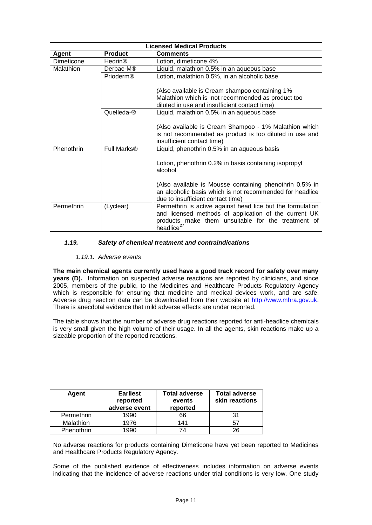| <b>Licensed Medical Products</b> |                |                                                                                                                                                                                                     |  |  |  |
|----------------------------------|----------------|-----------------------------------------------------------------------------------------------------------------------------------------------------------------------------------------------------|--|--|--|
| <b>Agent</b>                     | <b>Product</b> | <b>Comments</b>                                                                                                                                                                                     |  |  |  |
| Dimeticone                       | Hedrin®        | Lotion, dimeticone 4%                                                                                                                                                                               |  |  |  |
| Malathion                        | Derbac-M®      | Liquid, malathion 0.5% in an aqueous base                                                                                                                                                           |  |  |  |
|                                  | Prioderm®      | Lotion, malathion 0.5%, in an alcoholic base                                                                                                                                                        |  |  |  |
|                                  |                | (Also available is Cream shampoo containing 1%)                                                                                                                                                     |  |  |  |
|                                  |                | Malathion which is not recommended as product too                                                                                                                                                   |  |  |  |
|                                  |                | diluted in use and insufficient contact time)                                                                                                                                                       |  |  |  |
|                                  | Quelleda-®     | Liquid, malathion 0.5% in an aqueous base                                                                                                                                                           |  |  |  |
|                                  |                | (Also available is Cream Shampoo - 1% Malathion which                                                                                                                                               |  |  |  |
|                                  |                | is not recommended as product is too diluted in use and<br>insufficient contact time)                                                                                                               |  |  |  |
| Phenothrin                       | Full Marks®    | Liquid, phenothrin 0.5% in an aqueous basis                                                                                                                                                         |  |  |  |
|                                  |                | Lotion, phenothrin 0.2% in basis containing isopropyl<br>alcohol                                                                                                                                    |  |  |  |
|                                  |                | (Also available is Mousse containing phenothrin 0.5% in<br>an alcoholic basis which is not recommended for headlice<br>due to insufficient contact time)                                            |  |  |  |
| Permethrin                       | (Lyclear)      | Permethrin is active against head lice but the formulation<br>and licensed methods of application of the current UK<br>products make them unsuitable for the treatment of<br>headlice <sup>27</sup> |  |  |  |

# <span id="page-13-0"></span>*1.19. Safety of chemical treatment and contraindications*

# *1.19.1. Adverse events*

<span id="page-13-1"></span>**The main chemical agents currently used have a good track record for safety over many years (D).** Information on suspected adverse reactions are reported by clinicians, and since 2005, members of the public, to the Medicines and Healthcare Products Regulatory Agency which is responsible for ensuring that medicine and medical devices work, and are safe. Adverse drug reaction data can be downloaded from their website at [http://www.mhra.gov.uk.](http://www.mhra.gov.uk/) There is anecdotal evidence that mild adverse effects are under reported.

The table shows that the number of adverse drug reactions reported for anti-headlice chemicals is very small given the high volume of their usage. In all the agents, skin reactions make up a sizeable proportion of the reported reactions.

| Agent      | <b>Earliest</b><br>reported<br>adverse event | <b>Total adverse</b><br>events<br>reported | <b>Total adverse</b><br>skin reactions |
|------------|----------------------------------------------|--------------------------------------------|----------------------------------------|
| Permethrin | 1990                                         | 66                                         |                                        |
| Malathion  | 1976                                         | 141                                        | -57                                    |
| Phenothrin | 1990                                         | 74                                         | 26                                     |

No adverse reactions for products containing Dimeticone have yet been reported to Medicines and Healthcare Products Regulatory Agency.

Some of the published evidence of effectiveness includes information on adverse events indicating that the incidence of adverse reactions under trial conditions is very low. One study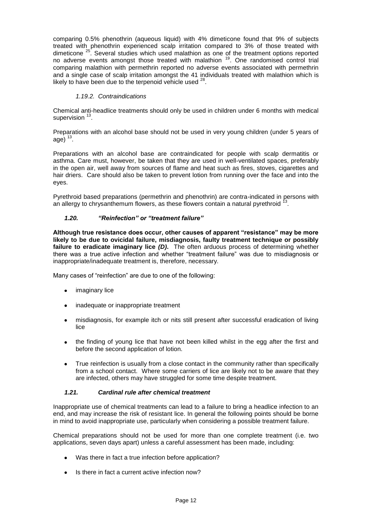comparing 0.5% phenothrin (aqueous liquid) with 4% dimeticone found that 9% of subjects treated with phenothrin experienced scalp irritation compared to 3% of those treated with dimeticone<sup>25</sup>. Several studies which used malathion as one of the treatment options reported no adverse events amongst those treated with malathion <sup>19</sup>. One randomised control trial comparing malathion with permethrin reported no adverse events associated with permethrin and a single case of scalp irritation amongst the 41 individuals treated with malathion which is likely to have been due to the terpenoid vehicle used  $^{28}$ .

# *1.19.2. Contraindications*

<span id="page-14-0"></span>Chemical anti-headlice treatments should only be used in children under 6 months with medical supervision <sup>13</sup>.

Preparations with an alcohol base should not be used in very young children (under 5 years of age)  $^{13}$ .

Preparations with an alcohol base are contraindicated for people with scalp dermatitis or asthma. Care must, however, be taken that they are used in well-ventilated spaces, preferably in the open air, well away from sources of flame and heat such as fires, stoves, cigarettes and hair driers. Care should also be taken to prevent lotion from running over the face and into the eyes.

Pyrethroid based preparations (permethrin and phenothrin) are contra-indicated in persons with an allergy to chrysanthemum flowers, as these flowers contain a natural pyrethroid <sup>1</sup> .

# <span id="page-14-1"></span>*1.20. "Reinfection" or "treatment failure"*

**Although true resistance does occur, other causes of apparent "resistance" may be more likely to be due to ovicidal failure, misdiagnosis, faulty treatment technique or possibly failure to eradicate imaginary lice** *(D)***.** The often arduous process of determining whether there was a true active infection and whether "treatment failure" was due to misdiagnosis or inappropriate/inadequate treatment is, therefore, necessary.

Many cases of "reinfection" are due to one of the following:

- imaginary lice
- inadequate or inappropriate treatment
- misdiagnosis, for example itch or nits still present after successful eradication of living lice
- the finding of young lice that have not been killed whilst in the egg after the first and before the second application of lotion.
- True reinfection is usually from a close contact in the community rather than specifically from a school contact. Where some carriers of lice are likely not to be aware that they are infected, others may have struggled for some time despite treatment.

#### <span id="page-14-2"></span>*1.21. Cardinal rule after chemical treatment*

Inappropriate use of chemical treatments can lead to a failure to bring a headlice infection to an end, and may increase the risk of resistant lice. In general the following points should be borne in mind to avoid inappropriate use, particularly when considering a possible treatment failure.

Chemical preparations should not be used for more than one complete treatment (i.e. two applications, seven days apart) unless a careful assessment has been made, including:

- Was there in fact a true infection before application?
- Is there in fact a current active infection now?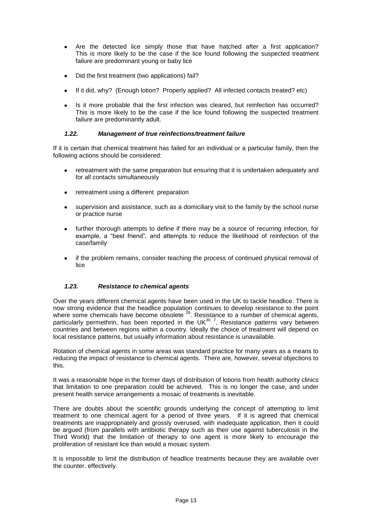- Are the detected lice simply those that have hatched after a first application? This is more likely to be the case if the lice found following the suspected treatment failure are predominant young or baby lice
- Did the first treatment (two applications) fail?
- If it did, why? (Enough lotion? Properly applied? All infected contacts treated? etc)
- Is it more probable that the first infection was cleared, but reinfection has occurred? This is more likely to be the case if the lice found following the suspected treatment failure are predominantly adult.

# <span id="page-15-0"></span>*1.22. Management of true reinfections/treatment failure*

If it is certain that chemical treatment has failed for an individual or a particular family, then the following actions should be considered:

- retreatment with the same preparation but ensuring that it is undertaken adequately and for all contacts simultaneously
- retreatment using a different preparation
- supervision and assistance, such as a domiciliary visit to the family by the school nurse  $\bullet$ or practice nurse
- further thorough attempts to define if there may be a source of recurring infection, for example, a "best friend", and attempts to reduce the likelihood of reinfection of the case/family
- if the problem remains, consider teaching the process of continued physical removal of lice

# <span id="page-15-1"></span>*1.23. Resistance to chemical agents*

Over the years different chemical agents have been used in the UK to tackle headlice. There is now strong evidence that the headlice population continues to develop resistance to the point where some chemicals have become obsolete<sup>29</sup>. Resistance to a number of chemical agents, particularly permethrin, has been reported in the UK $^{30}$ <sup>7</sup>. Resistance patterns vary between countries and between regions within a country. Ideally the choice of treatment will depend on local resistance patterns, but usually information about resistance is unavailable.

Rotation of chemical agents in some areas was standard practice for many years as a means to reducing the impact of resistance to chemical agents. There are, however, several objections to this.

It was a reasonable hope in the former days of distribution of lotions from health authority clinics that limitation to one preparation could be achieved. This is no longer the case, and under present health service arrangements a mosaic of treatments is inevitable.

There are doubts about the scientific grounds underlying the concept of attempting to limit treatment to one chemical agent for a period of three years. If it is agreed that chemical treatments are inappropriately and grossly overused, with inadequate application, then it could be argued (from parallels with antibiotic therapy such as their use against tuberculosis in the Third World) that the limitation of therapy to one agent is more likely to *encourage* the proliferation of resistant lice than would a mosaic system.

It is impossible to limit the distribution of headlice treatments because they are available over the counter. effectively.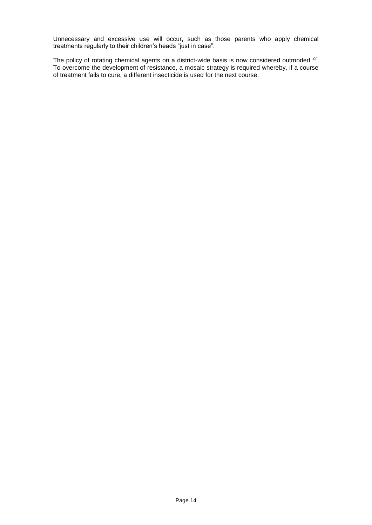Unnecessary and excessive use will occur, such as those parents who apply chemical treatments regularly to their children's heads "just in case".

The policy of rotating chemical agents on a district-wide basis is now considered outmoded  $27$ . To overcome the development of resistance, a mosaic strategy is required whereby, if a course of treatment fails to cure, a different insecticide is used for the next course.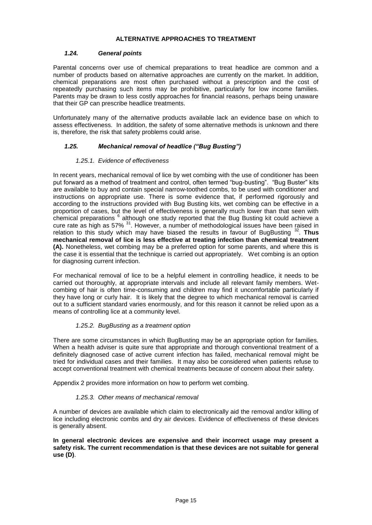# **ALTERNATIVE APPROACHES TO TREATMENT**

# <span id="page-17-1"></span><span id="page-17-0"></span>*1.24. General points*

Parental concerns over use of chemical preparations to treat headlice are common and a number of products based on alternative approaches are currently on the market. In addition, chemical preparations are most often purchased without a prescription and the cost of repeatedly purchasing such items may be prohibitive, particularly for low income families. Parents may be drawn to less costly approaches for financial reasons, perhaps being unaware that their GP can prescribe headlice treatments.

Unfortunately many of the alternative products available lack an evidence base on which to assess effectiveness. In addition, the safety of some alternative methods is unknown and there is, therefore, the risk that safety problems could arise.

# <span id="page-17-2"></span>*1.25. Mechanical removal of headlice ("Bug Busting")*

# *1.25.1. Evidence of effectiveness*

<span id="page-17-3"></span>In recent years, mechanical removal of lice by wet combing with the use of conditioner has been put forward as a method of treatment and control, often termed "bug-busting". "Bug Buster" kits are available to buy and contain special narrow-toothed combs, to be used with conditioner and instructions on appropriate use. There is some evidence that, if performed rigorously and according to the instructions provided with Bug Busting kits, wet combing can be effective in a proportion of cases, but the level of effectiveness is generally much lower than that seen with chemical preparations <sup>6</sup> although one study reported that the Bug Busting kit could achieve a cure rate as high as 57% <sup>31</sup>. However, a number of methodological issues have been raised in relation to this study which may have biased the results in favour of BugBusting<sup>32</sup>. Thus **mechanical removal of lice is less effective at treating infection than chemical treatment (A).** Nonetheless, wet combing may be a preferred option for some parents, and where this is the case it is essential that the technique is carried out appropriately. Wet combing is an option for diagnosing current infection.

For mechanical removal of lice to be a helpful element in controlling headlice, it needs to be carried out thoroughly, at appropriate intervals and include all relevant family members. Wetcombing of hair is often time-consuming and children may find it uncomfortable particularly if they have long or curly hair. It is likely that the degree to which mechanical removal is carried out to a sufficient standard varies enormously, and for this reason it cannot be relied upon as a means of controlling lice at a community level.

# *1.25.2. BugBusting as a treatment option*

<span id="page-17-4"></span>There are some circumstances in which BugBusting may be an appropriate option for families. When a health adviser is quite sure that appropriate and thorough conventional treatment of a definitely diagnosed case of active current infection has failed, mechanical removal might be tried for individual cases and their families. It may also be considered when patients refuse to accept conventional treatment with chemical treatments because of concern about their safety.

<span id="page-17-5"></span>Appendix 2 provides more information on how to perform wet combing.

# *1.25.3. Other means of mechanical removal*

A number of devices are available which claim to electronically aid the removal and/or killing of lice including electronic combs and dry air devices. Evidence of effectiveness of these devices is generally absent.

#### **In general electronic devices are expensive and their incorrect usage may present a safety risk. The current recommendation is that these devices are not suitable for general use (D)**.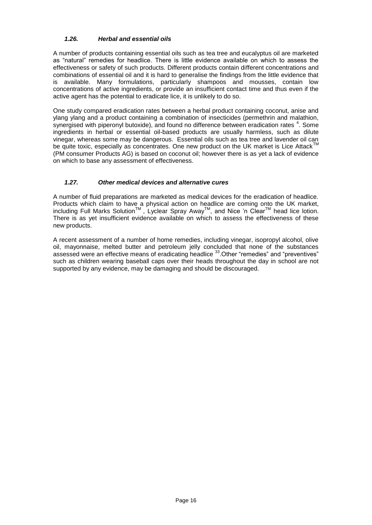# <span id="page-18-0"></span>*1.26. Herbal and essential oils*

A number of products containing essential oils such as tea tree and eucalyptus oil are marketed as "natural" remedies for headlice. There is little evidence available on which to assess the effectiveness or safety of such products. Different products contain different concentrations and combinations of essential oil and it is hard to generalise the findings from the little evidence that is available. Many formulations, particularly shampoos and mousses, contain low concentrations of active ingredients, or provide an insufficient contact time and thus even if the active agent has the potential to eradicate lice, it is unlikely to do so.

One study compared eradication rates between a herbal product containing coconut, anise and ylang ylang and a product containing a combination of insecticides (permethrin and malathion, synergised with piperonyl butoxide), and found no difference between eradication rates  $4$ . Some ingredients in herbal or essential oil-based products are usually harmless, such as dilute vinegar, whereas some may be dangerous. Essential oils such as tea tree and lavender oil can be quite toxic, especially as concentrates. One new product on the UK market is Lice Attack (PM consumer Products AG) is based on coconut oil; however there is as yet a lack of evidence on which to base any assessment of effectiveness.

# <span id="page-18-1"></span>*1.27. Other medical devices and alternative cures*

A number of fluid preparations are marketed as medical devices for the eradication of headlice. Products which claim to have a physical action on headlice are coming onto the UK market, including Full Marks Solution<sup>™</sup>, Lyclear Spray Away<sup>™</sup>, and Nice 'n Clear<sup>™</sup> head lice lotion. There is as yet insufficient evidence available on which to assess the effectiveness of these new products.

A recent assessment of a number of home remedies, including vinegar, isopropyl alcohol, olive oil, mayonnaise, melted butter and petroleum jelly concluded that none of the substances assessed were an effective means of eradicating headlice <sup>33</sup>. Other "remedies" and "preventives" such as children wearing baseball caps over their heads throughout the day in school are not supported by any evidence, may be damaging and should be discouraged.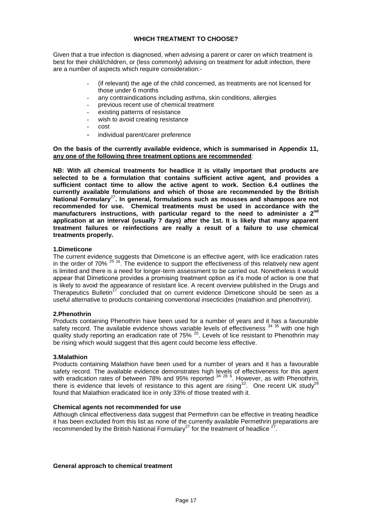# **WHICH TREATMENT TO CHOOSE?**

<span id="page-19-0"></span>Given that a true infection is diagnosed, when advising a parent or carer on which treatment is best for their child/children, or (less commonly) advising on treatment for adult infection, there are a number of aspects which require consideration:-

- (if relevant) the age of the child concerned, as treatments are not licensed for those under 6 months
- any contraindications including asthma, skin conditions, allergies
- previous recent use of chemical treatment
- existing patterns of resistance
- wish to avoid creating resistance
- cost
- individual parent/carer preference

# **On the basis of the currently available evidence, which is summarised in Appendix 11, any one of the following three treatment options are recommended**:

**NB: With all chemical treatments for headlice it is vitally important that products are selected to be a formulation that contains sufficient active agent, and provides a sufficient contact time to allow the active agent to work. Section 6.4 outlines the currently available formulations and which of those are recommended by the British National Formulary**<sup>27</sup>**. In general, formulations such as mousses and shampoos are not recommended for use. Chemical treatments must be used in accordance with the manufacturers instructions, with particular regard to the need to administer a 2nd application at an interval (usually 7 days) after the 1st. It is likely that many apparent treatment failures or reinfections are really a result of a failure to use chemical treatments properly.** 

# **1.Dimeticone**

The current evidence suggests that Dimeticone is an effective agent, with lice eradication rates in the order of  $70\%$ <sup>25 26</sup>. The evidence to support the effectiveness of this relatively new agent is limited and there is a need for longer-term assessment to be carried out. Nonetheless it would appear that Dimeticone provides a promising treatment option as it's mode of action is one that is likely to avoid the appearance of resistant lice. A recent overview published in the Drugs and Therapeutics Bulletin<sup>17</sup> concluded that on current evidence Dimeticone should be seen as a useful alternative to products containing conventional insecticides (malathion and phenothrin).

#### **2.Phenothrin**

Products containing Phenothrin have been used for a number of years and it has a favourable safety record. The available evidence shows variable levels of effectiveness  $3435$  with one high quality study reporting an eradication rate of 75% <sup>25</sup>. Levels of lice resistant to Phenothrin may be rising which would suggest that this agent could become less effective.

#### **3.Malathion**

Products containing Malathion have been used for a number of years and it has a favourable safety record. The available evidence demonstrates high levels of effectiveness for this agent with eradication rates of between 78% and 95% reported <sup>34 28 6</sup>. However, as with Phenothrin, there is evidence that levels of resistance to this agent are rising<sup>22</sup>. One recent UK study<sup>26</sup> found that Malathion eradicated lice in only 33% of those treated with it.

#### **Chemical agents not recommended for use**

Although clinical effectiveness data suggest that Permethrin can be effective in treating headlice it has been excluded from this list as none of the currently available Permethrin preparations are recommended by the British National Formulary<sup>27</sup> for the treatment of headlice  $\frac{2}{7}$ .

#### **General approach to chemical treatment**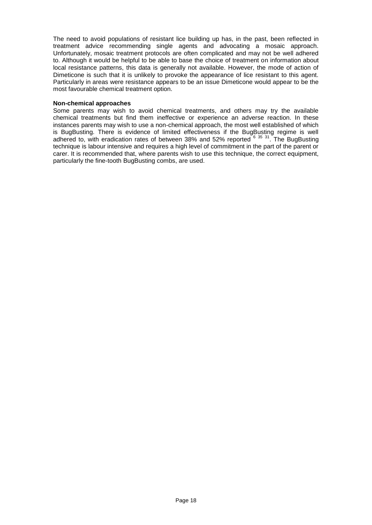The need to avoid populations of resistant lice building up has, in the past, been reflected in treatment advice recommending single agents and advocating a mosaic approach. Unfortunately, mosaic treatment protocols are often complicated and may not be well adhered to. Although it would be helpful to be able to base the choice of treatment on information about local resistance patterns, this data is generally not available. However, the mode of action of Dimeticone is such that it is unlikely to provoke the appearance of lice resistant to this agent. Particularly in areas were resistance appears to be an issue Dimeticone would appear to be the most favourable chemical treatment option.

#### **Non-chemical approaches**

Some parents may wish to avoid chemical treatments, and others may try the available chemical treatments but find them ineffective or experience an adverse reaction. In these instances parents may wish to use a non-chemical approach, the most well established of which is BugBusting. There is evidence of limited effectiveness if the BugBusting regime is well adhered to, with eradication rates of between 38% and 52% reported  $6^{35}$  31. The BugBusting technique is labour intensive and requires a high level of commitment in the part of the parent or carer. It is recommended that, where parents wish to use this technique, the correct equipment, particularly the fine-tooth BugBusting combs, are used.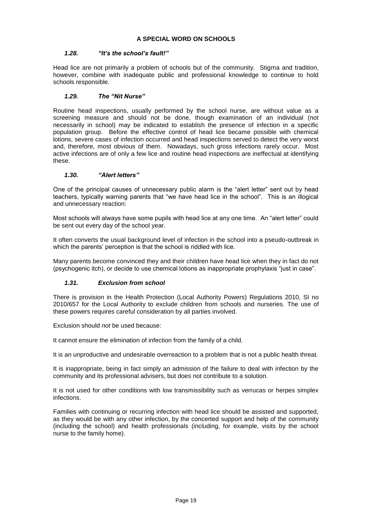# <span id="page-21-1"></span><span id="page-21-0"></span>*1.28. "It's the school's fault!"*

Head lice are not primarily a problem of schools but of the community. Stigma and tradition, however, combine with inadequate public and professional knowledge to continue to hold schools responsible.

# <span id="page-21-2"></span>*1.29. The "Nit Nurse"*

Routine head inspections, usually performed by the school nurse, are without value as a screening measure and should not be done, though examination of an individual (not necessarily in school) may be indicated to establish the presence of infection in a specific population group. Before the effective control of head lice became possible with chemical lotions, severe cases of infection occurred and head inspections served to detect the very worst and, therefore, most obvious of them. Nowadays, such gross infections rarely occur. Most active infections are of only a few lice and routine head inspections are ineffectual at identifying these.

# <span id="page-21-3"></span>*1.30. "Alert letters"*

One of the principal causes of unnecessary public alarm is the "alert letter" sent out by head teachers, typically warning parents that "we have head lice in the school". This is an illogical and unnecessary reaction:

Most schools will always have some pupils with head lice at any one time. An "alert letter" could be sent out every day of the school year.

It often converts the usual background level of infection in the school into a pseudo-outbreak in which the parents' perception is that the school is riddled with lice.

Many parents become convinced they and their children have head lice when they in fact do not (psychogenic itch), or decide to use chemical lotions as inappropriate prophylaxis "just in case".

# <span id="page-21-4"></span>*1.31. Exclusion from school*

There is provision in the Health Protection (Local Authority Powers) Regulations 2010, SI no 2010/657 for the Local Authority to exclude children from schools and nurseries. The use of these powers requires careful consideration by all parties involved.

Exclusion should *not* be used because:

It cannot ensure the elimination of infection from the family of a child.

It is an unproductive and undesirable overreaction to a problem that is not a public health threat.

It is inappropriate, being in fact simply an admission of the failure to deal with infection by the community and its professional advisers, but does not contribute to a solution.

It is not used for other conditions with low transmissibility such as verrucas or herpes simplex infections.

Families with continuing or recurring infection with head lice should be assisted and supported, as they would be with any other infection, by the concerted support and help of the community (including the school) and health professionals (including, for example, visits by the school nurse to the family home).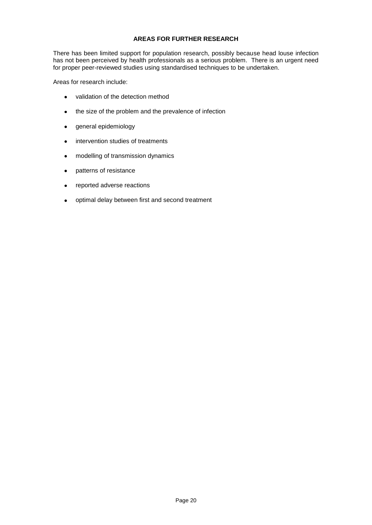# **AREAS FOR FURTHER RESEARCH**

<span id="page-22-0"></span>There has been limited support for population research, possibly because head louse infection has not been perceived by health professionals as a serious problem. There is an urgent need for proper peer-reviewed studies using standardised techniques to be undertaken.

Areas for research include:

- validation of the detection method  $\bullet$
- the size of the problem and the prevalence of infection  $\bullet$
- general epidemiology  $\bullet$
- intervention studies of treatments  $\bullet$
- $\bullet$ modelling of transmission dynamics
- patterns of resistance  $\bullet$
- reported adverse reactions  $\bullet$
- optimal delay between first and second treatment $\bullet$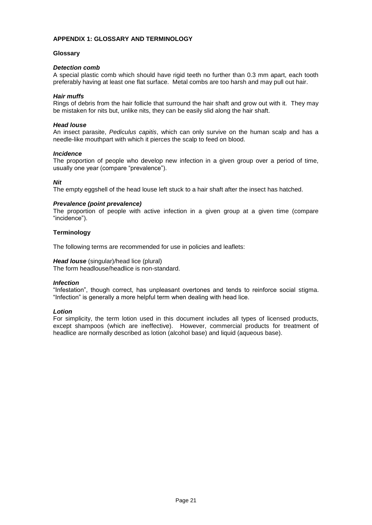# <span id="page-23-0"></span>**APPENDIX 1: GLOSSARY AND TERMINOLOGY**

## **Glossary**

# *Detection comb*

A special plastic comb which should have rigid teeth no further than 0.3 mm apart, each tooth preferably having at least one flat surface. Metal combs are too harsh and may pull out hair.

#### *Hair muffs*

Rings of debris from the hair follicle that surround the hair shaft and grow out with it. They may be mistaken for nits but, unlike nits, they can be easily slid along the hair shaft.

#### *Head louse*

An insect parasite, *Pediculus capitis*, which can only survive on the human scalp and has a needle-like mouthpart with which it pierces the scalp to feed on blood.

# *Incidence*

The proportion of people who develop new infection in a given group over a period of time, usually one year (compare "prevalence").

# *Nit*

The empty eggshell of the head louse left stuck to a hair shaft after the insect has hatched.

# *Prevalence (point prevalence)*

The proportion of people with active infection in a given group at a given time (compare "incidence").

# **Terminology**

The following terms are recommended for use in policies and leaflets:

#### *Head louse* (singular)/head lice (plural)

The form headlouse/headlice is non-standard.

#### *Infection*

"Infestation", though correct, has unpleasant overtones and tends to reinforce social stigma. "Infection" is generally a more helpful term when dealing with head lice.

# *Lotion*

For simplicity, the term lotion used in this document includes all types of licensed products, except shampoos (which are ineffective). However, commercial products for treatment of headlice are normally described as lotion (alcohol base) and liquid (aqueous base).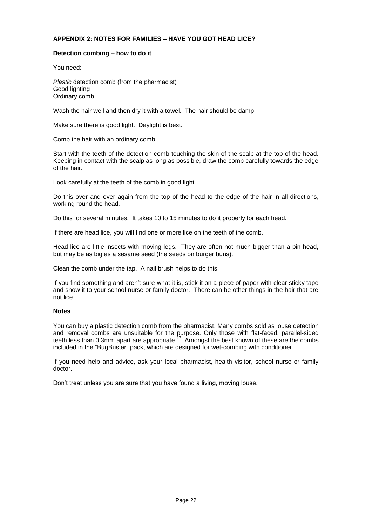# <span id="page-24-0"></span>**APPENDIX 2: NOTES FOR FAMILIES – HAVE YOU GOT HEAD LICE?**

#### **Detection combing – how to do it**

You need:

*Plastic* detection comb (from the pharmacist) Good lighting Ordinary comb

Wash the hair well and then dry it with a towel. The hair should be damp.

Make sure there is good light. Daylight is best.

Comb the hair with an ordinary comb.

Start with the teeth of the detection comb touching the skin of the scalp at the top of the head. Keeping in contact with the scalp as long as possible, draw the comb carefully towards the edge of the hair.

Look carefully at the teeth of the comb in good light.

Do this over and over again from the top of the head to the edge of the hair in all directions, working round the head.

Do this for several minutes. It takes 10 to 15 minutes to do it properly for each head.

If there are head lice, you will find one or more lice on the teeth of the comb.

Head lice are little insects with moving legs. They are often not much bigger than a pin head, but may be as big as a sesame seed (the seeds on burger buns).

Clean the comb under the tap. A nail brush helps to do this.

If you find something and aren't sure what it is, stick it on a piece of paper with clear sticky tape and show it to your school nurse or family doctor. There can be other things in the hair that are not lice.

#### **Notes**

You can buy a plastic detection comb from the pharmacist. Many combs sold as louse detection and removal combs are unsuitable for the purpose. Only those with flat-faced, parallel-sided teeth less than 0.3mm apart are appropriate  $17$ . Amongst the best known of these are the combs included in the "BugBuster" pack, which are designed for wet-combing with conditioner.

If you need help and advice, ask your local pharmacist, health visitor, school nurse or family doctor.

Don't treat unless you are sure that you have found a living, moving louse.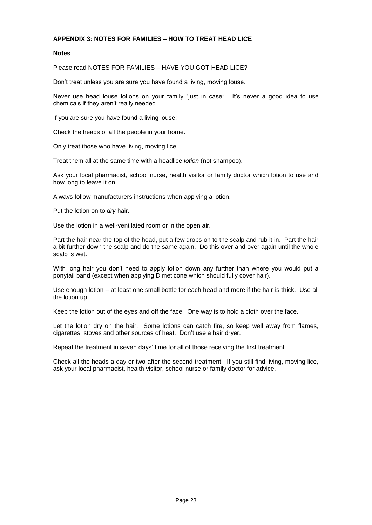# <span id="page-25-0"></span>**APPENDIX 3: NOTES FOR FAMILIES – HOW TO TREAT HEAD LICE**

#### **Notes**

Please read NOTES FOR FAMILIES – HAVE YOU GOT HEAD LICE?

Don't treat unless you are sure you have found a living, moving louse.

Never use head louse lotions on your family "just in case". It's never a good idea to use chemicals if they aren't really needed.

If you are sure you have found a living louse:

Check the heads of all the people in your home.

Only treat those who have living, moving lice.

Treat them all at the same time with a headlice *lotion* (not shampoo).

Ask your local pharmacist, school nurse, health visitor or family doctor which lotion to use and how long to leave it on.

Always follow manufacturers instructions when applying a lotion.

Put the lotion on to *dry* hair.

Use the lotion in a well-ventilated room or in the open air.

Part the hair near the top of the head, put a few drops on to the scalp and rub it in. Part the hair a bit further down the scalp and do the same again. Do this over and over again until the whole scalp is wet.

With long hair you don't need to apply lotion down any further than where you would put a ponytail band (except when applying Dimeticone which should fully cover hair).

Use enough lotion – at least one small bottle for each head and more if the hair is thick. Use all the lotion up.

Keep the lotion out of the eyes and off the face. One way is to hold a cloth over the face.

Let the lotion dry on the hair. Some lotions can catch fire, so keep well away from flames, cigarettes, stoves and other sources of heat. Don't use a hair dryer.

Repeat the treatment in seven days' time for all of those receiving the first treatment.

Check all the heads a day or two after the second treatment. If you still find living, moving lice, ask your local pharmacist, health visitor, school nurse or family doctor for advice.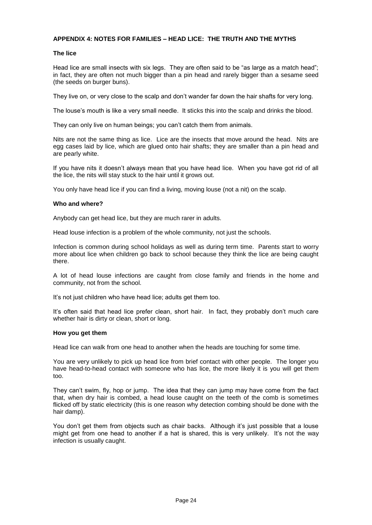# <span id="page-26-0"></span>**APPENDIX 4: NOTES FOR FAMILIES – HEAD LICE: THE TRUTH AND THE MYTHS**

#### **The lice**

Head lice are small insects with six legs. They are often said to be "as large as a match head"; in fact, they are often not much bigger than a pin head and rarely bigger than a sesame seed (the seeds on burger buns).

They live on, or very close to the scalp and don't wander far down the hair shafts for very long.

The louse's mouth is like a very small needle. It sticks this into the scalp and drinks the blood.

They can only live on human beings; you can't catch them from animals.

Nits are not the same thing as lice. Lice are the insects that move around the head. Nits are egg cases laid by lice, which are glued onto hair shafts; they are smaller than a pin head and are pearly white.

If you have nits it doesn't always mean that you have head lice. When you have got rid of all the lice, the nits will stay stuck to the hair until it grows out.

You only have head lice if you can find a living, moving louse (not a nit) on the scalp.

# **Who and where?**

Anybody can get head lice, but they are much rarer in adults.

Head louse infection is a problem of the whole community, not just the schools.

Infection is common during school holidays as well as during term time. Parents start to worry more about lice when children go back to school because they think the lice are being caught there.

A lot of head louse infections are caught from close family and friends in the home and community, not from the school.

It's not just children who have head lice; adults get them too.

It's often said that head lice prefer clean, short hair. In fact, they probably don't much care whether hair is dirty or clean, short or long.

#### **How you get them**

Head lice can walk from one head to another when the heads are touching for some time.

You are very unlikely to pick up head lice from brief contact with other people. The longer you have head-to-head contact with someone who has lice, the more likely it is you will get them too.

They can't swim, fly, hop or jump. The idea that they can jump may have come from the fact that, when dry hair is combed, a head louse caught on the teeth of the comb is sometimes flicked off by static electricity (this is one reason why detection combing should be done with the hair damp).

You don't get them from objects such as chair backs. Although it's just possible that a louse might get from one head to another if a hat is shared, this is very unlikely. It's not the way infection is usually caught.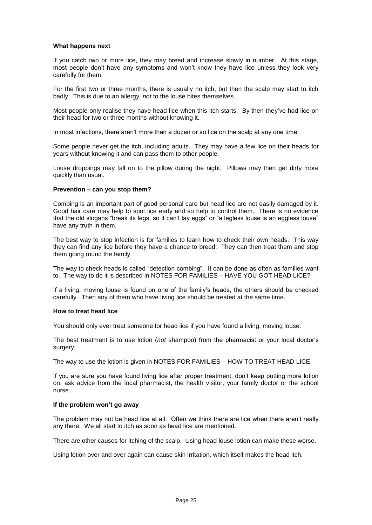#### **What happens next**

If you catch two or more lice, they may breed and increase slowly in number. At this stage, most people don't have any symptoms and won't know they have lice unless they look very carefully for them.

For the first two or three months, there is usually no itch, but then the scalp may start to itch badly. This is due to an allergy, *not* to the louse bites themselves.

Most people only realise they have head lice when this itch starts. By then they've had lice on their head for two or three months without knowing it.

In most infections, there aren't more than a dozen or so lice on the scalp at any one time.

Some people never get the itch, including adults. They may have a few lice on their heads for years without knowing it and can pass them to other people.

Louse droppings may fall on to the pillow during the night. Pillows may then get dirty more quickly than usual.

#### **Prevention – can you stop them?**

Combing is an important part of good personal care but head lice are not easily damaged by it. Good hair care may help to spot lice early and so help to control them. There is no evidence that the old slogans "break its legs, so it can't lay eggs" or "a legless louse is an eggless louse" have any truth in them.

The best way to stop infection is for families to learn how to check their own heads. This way they can find any lice before they have a chance to breed. They can then treat them and stop them going round the family.

The way to check heads is called "detection combing". It can be done as often as families want to. The way to do it is described in NOTES FOR FAMILIES – HAVE YOU GOT HEAD LICE?

If a living, moving louse is found on one of the family's heads, the others should be checked carefully. Then any of them who have living lice should be treated at the same time.

#### **How to treat head lice**

You should only ever treat someone for head lice if you have found a living, moving louse.

The best treatment is to use lotion (*not* shampoo) from the pharmacist or your local doctor's surgery.

The way to use the lotion is given in NOTES FOR FAMILIES – HOW TO TREAT HEAD LICE.

If you are sure you have found living lice after proper treatment, don't keep putting more lotion on; ask advice from the local pharmacist, the health visitor, your family doctor or the school nurse.

#### **If the problem won't go away**

The problem may not be head lice at all. Often we think there are lice when there aren't really any there. We all start to itch as soon as head lice are mentioned.

There are other causes for itching of the scalp. Using head louse lotion can make these worse.

Using lotion over and over again can cause skin irritation, which itself makes the head itch.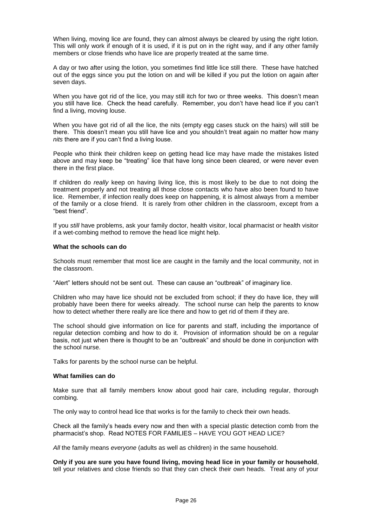When living, moving lice *are* found, they can almost always be cleared by using the right lotion. This will only work if enough of it is used, if it is put on in the right way, and if any other family members or close friends who have lice are properly treated at the same time.

A day or two after using the lotion, you sometimes find little lice still there. These have hatched out of the eggs since you put the lotion on and will be killed if you put the lotion on again after seven days.

When you have got rid of the lice, you may still itch for two or three weeks. This doesn't mean you still have lice. Check the head carefully. Remember, you don't have head lice if you can't find a living, moving louse.

When you have got rid of all the lice, the nits (empty egg cases stuck on the hairs) will still be there. This doesn't mean you still have lice and you shouldn't treat again no matter how many *nits* there are if you can't find a living louse.

People who think their children keep on getting head lice may have made the mistakes listed above and may keep be "treating" lice that have long since been cleared, or were never even there in the first place.

If children do *really* keep on having living lice, this is most likely to be due to not doing the treatment properly and not treating all those close contacts who have also been found to have lice. Remember, if infection really does keep on happening, it is almost always from a member of the family or a close friend. It is rarely from other children in the classroom, except from a "best friend".

If you *still* have problems, ask your family doctor, health visitor, local pharmacist or health visitor if a wet-combing method to remove the head lice might help.

#### **What the schools can do**

Schools must remember that most lice are caught in the family and the local community, not in the classroom.

"Alert" letters should not be sent out. These can cause an "outbreak" of imaginary lice.

Children who may have lice should not be excluded from school; if they do have lice, they will probably have been there for weeks already. The school nurse can help the parents to know how to detect whether there really are lice there and how to get rid of them if they are.

The school should give information on lice for parents and staff, including the importance of regular detection combing and how to do it. Provision of information should be on a regular basis, not just when there is thought to be an "outbreak" and should be done in conjunction with the school nurse.

Talks for parents by the school nurse can be helpful.

#### **What families can do**

Make sure that all family members know about good hair care, including regular, thorough combing.

The only way to control head lice that works is for the family to check their own heads.

Check all the family's heads every now and then with a special plastic detection comb from the pharmacist's shop. Read NOTES FOR FAMILIES – HAVE YOU GOT HEAD LICE?

*All* the family means *everyone* (adults as well as children) in the same household.

**Only if you are sure you have found living, moving head lice in your family or household**, tell your relatives and close friends so that they can check their own heads. Treat any of your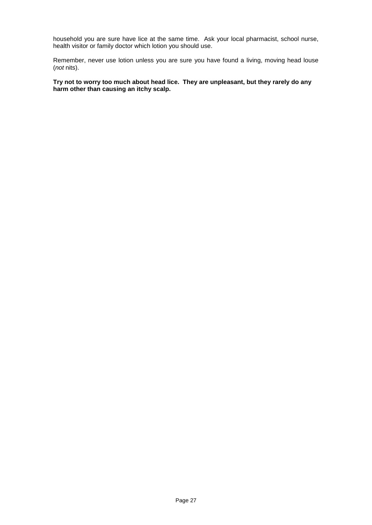household you are sure have lice at the same time. Ask your local pharmacist, school nurse, health visitor or family doctor which lotion you should use.

Remember, never use lotion unless you are sure you have found a living, moving head louse (*not* nits).

**Try not to worry too much about head lice. They are unpleasant, but they rarely do any harm other than causing an itchy scalp.**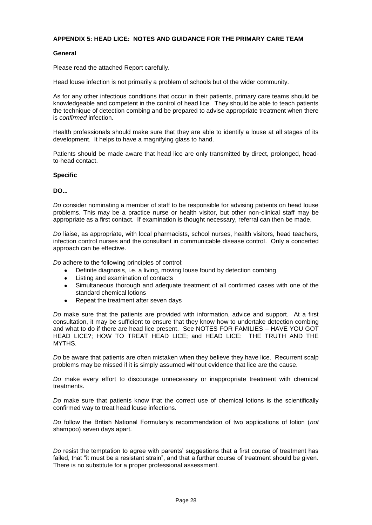# <span id="page-30-0"></span>**APPENDIX 5: HEAD LICE: NOTES AND GUIDANCE FOR THE PRIMARY CARE TEAM**

# **General**

Please read the attached Report carefully.

Head louse infection is not primarily a problem of schools but of the wider community.

As for any other infectious conditions that occur in their patients, primary care teams should be knowledgeable and competent in the control of head lice. They should be able to teach patients the technique of detection combing and be prepared to advise appropriate treatment when there is *confirmed* infection.

Health professionals should make sure that they are able to identify a louse at all stages of its development. It helps to have a magnifying glass to hand.

Patients should be made aware that head lice are only transmitted by direct, prolonged, headto-head contact.

#### **Specific**

**DO...**

*Do* consider nominating a member of staff to be responsible for advising patients on head louse problems. This may be a practice nurse or health visitor, but other non-clinical staff may be appropriate as a first contact. If examination is thought necessary, referral can then be made.

*Do* liaise, as appropriate, with local pharmacists, school nurses, health visitors, head teachers, infection control nurses and the consultant in communicable disease control. Only a concerted approach can be effective.

*Do* adhere to the following principles of control:

- Definite diagnosis, i.e. a living, moving louse found by detection combing
- Listing and examination of contacts
- Simultaneous thorough and adequate treatment of all confirmed cases with one of the  $\bullet$ standard chemical lotions
- Repeat the treatment after seven days  $\bullet$

*Do* make sure that the patients are provided with information, advice and support. At a first consultation, it may be sufficient to ensure that they know how to undertake detection combing and what to do if there are head lice present. See NOTES FOR FAMILIES – HAVE YOU GOT HEAD LICE?; HOW TO TREAT HEAD LICE; and HEAD LICE: THE TRUTH AND THE MYTHS.

*Do* be aware that patients are often mistaken when they believe they have lice. Recurrent scalp problems may be missed if it is simply assumed without evidence that lice are the cause.

*Do* make every effort to discourage unnecessary or inappropriate treatment with chemical treatments.

*Do* make sure that patients know that the correct use of chemical lotions is the scientifically confirmed way to treat head louse infections.

*Do* follow the British National Formulary's recommendation of two applications of lotion (*not* shampoo) seven days apart.

*Do* resist the temptation to agree with parents' suggestions that a first course of treatment has failed, that "it must be a resistant strain", and that a further course of treatment should be given. There is no substitute for a proper professional assessment.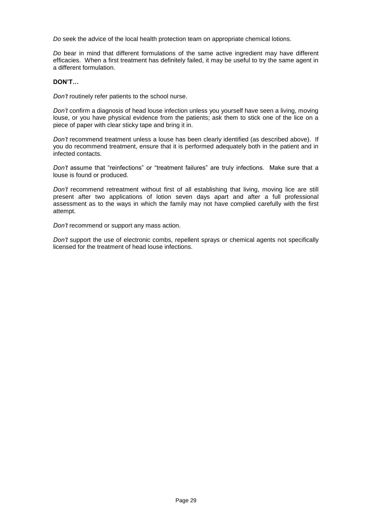*Do* seek the advice of the local health protection team on appropriate chemical lotions.

*Do* bear in mind that different formulations of the same active ingredient may have different efficacies. When a first treatment has definitely failed, it may be useful to try the same agent in a different formulation.

#### **DON'T…**

*Don't* routinely refer patients to the school nurse.

*Don't* confirm a diagnosis of head louse infection unless you yourself have seen a living, moving louse, or you have physical evidence from the patients; ask them to stick one of the lice on a piece of paper with clear sticky tape and bring it in.

*Don't* recommend treatment unless a louse has been clearly identified (as described above). If you do recommend treatment, ensure that it is performed adequately both in the patient and in infected contacts.

*Don't* assume that "reinfections" or "treatment failures" are truly infections. Make sure that a louse is found or produced.

*Don't* recommend retreatment without first of all establishing that living, moving lice are still present after two applications of lotion seven days apart and after a full professional assessment as to the ways in which the family may not have complied carefully with the first attempt.

*Don't* recommend or support any mass action.

*Don't* support the use of electronic combs, repellent sprays or chemical agents not specifically licensed for the treatment of head louse infections.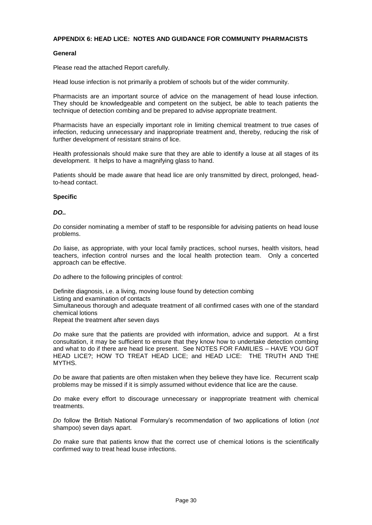# <span id="page-32-0"></span>**APPENDIX 6: HEAD LICE: NOTES AND GUIDANCE FOR COMMUNITY PHARMACISTS**

# **General**

Please read the attached Report carefully.

Head louse infection is not primarily a problem of schools but of the wider community.

Pharmacists are an important source of advice on the management of head louse infection. They should be knowledgeable and competent on the subject, be able to teach patients the technique of detection combing and be prepared to advise appropriate treatment.

Pharmacists have an especially important role in limiting chemical treatment to true cases of infection, reducing unnecessary and inappropriate treatment and, thereby, reducing the risk of further development of resistant strains of lice.

Health professionals should make sure that they are able to identify a louse at all stages of its development. It helps to have a magnifying glass to hand.

Patients should be made aware that head lice are only transmitted by direct, prolonged, headto-head contact.

#### **Specific**

# *DO..*

*Do* consider nominating a member of staff to be responsible for advising patients on head louse problems.

*Do* liaise, as appropriate, with your local family practices, school nurses, health visitors, head teachers, infection control nurses and the local health protection team. Only a concerted approach can be effective.

*Do* adhere to the following principles of control:

Definite diagnosis, i.e. a living, moving louse found by detection combing Listing and examination of contacts Simultaneous thorough and adequate treatment of all confirmed cases with one of the standard chemical lotions Repeat the treatment after seven days

*Do* make sure that the patients are provided with information, advice and support. At a first consultation, it may be sufficient to ensure that they know how to undertake detection combing and what to do if there are head lice present. See NOTES FOR FAMILIES – HAVE YOU GOT HEAD LICE?; HOW TO TREAT HEAD LICE; and HEAD LICE: THE TRUTH AND THE MYTHS.

*Do* be aware that patients are often mistaken when they believe they have lice. Recurrent scalp problems may be missed if it is simply assumed without evidence that lice are the cause.

*Do* make every effort to discourage unnecessary or inappropriate treatment with chemical treatments.

*Do* follow the British National Formulary's recommendation of two applications of lotion (*not* shampoo) seven days apart.

*Do* make sure that patients know that the correct use of chemical lotions is the scientifically confirmed way to treat head louse infections.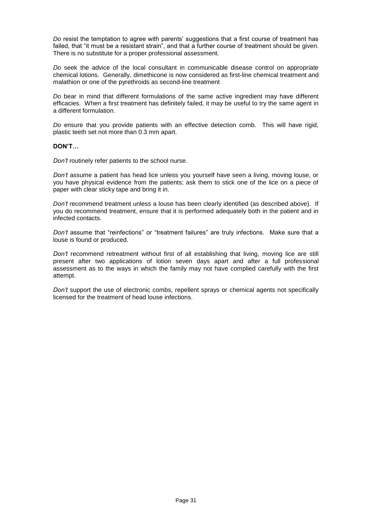*Do* resist the temptation to agree with parents' suggestions that a first course of treatment has failed, that "it must be a resistant strain", and that a further course of treatment should be given. There is no substitute for a proper professional assessment.

*Do* seek the advice of the local consultant in communicable disease control on appropriate chemical lotions. Generally, dimethicone is now considered as first-line chemical treatment and malathion or one of the pyrethroids as second-line treatment

*Do* bear in mind that different formulations of the same active ingredient may have different efficacies. When a first treatment has definitely failed, it may be useful to try the same agent in a different formulation.

*Do* ensure that you provide patients with an effective detection comb. This will have rigid, plastic teeth set not more than 0.3 mm apart.

# **DON'T…**

*Don't* routinely refer patients to the school nurse.

*Don't* assume a patient has head lice unless you yourself have seen a living, moving louse, or you have physical evidence from the patients; ask them to stick one of the lice on a piece of paper with clear sticky tape and bring it in.

*Don't* recommend treatment unless a louse has been clearly identified (as described above). If you do recommend treatment, ensure that it is performed adequately both in the patient and in infected contacts.

*Don't* assume that "reinfections" or "treatment failures" are truly infections. Make sure that a louse is found or produced.

*Don't* recommend retreatment without first of all establishing that living, moving lice are still present after two applications of lotion seven days apart and after a full professional assessment as to the ways in which the family may not have complied carefully with the first attempt.

*Don't* support the use of electronic combs, repellent sprays or chemical agents not specifically licensed for the treatment of head louse infections.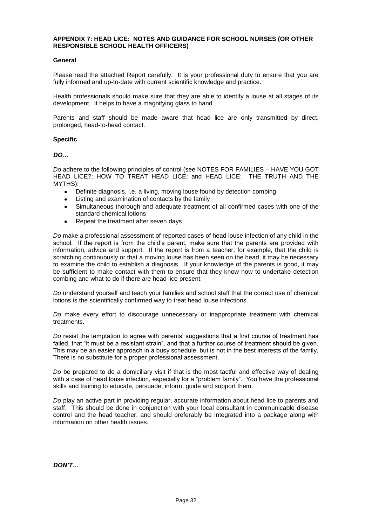#### <span id="page-34-0"></span>**APPENDIX 7: HEAD LICE: NOTES AND GUIDANCE FOR SCHOOL NURSES (OR OTHER RESPONSIBLE SCHOOL HEALTH OFFICERS)**

# **General**

Please read the attached Report carefully. It is your professional duty to ensure that you are fully informed and up-to-date with current scientific knowledge and practice.

Health professionals should make sure that they are able to identify a louse at all stages of its development. It helps to have a magnifying glass to hand.

Parents and staff should be made aware that head lice are only transmitted by direct, prolonged, head-to-head contact.

#### **Specific**

*DO…*

*Do* adhere to the following principles of control (see NOTES FOR FAMILIES – HAVE YOU GOT HEAD LICE?; HOW TO TREAT HEAD LICE; and HEAD LICE: THE TRUTH AND THE MYTHS):

- Definite diagnosis, i.e. a living, moving louse found by detection combing  $\bullet$
- Listing and examination of contacts by the family
- Simultaneous thorough and adequate treatment of all confirmed cases with one of the  $\bullet$ standard chemical lotions
- Repeat the treatment after seven days  $\bullet$

*Do* make a professional assessment of reported cases of head louse infection of any child in the school. If the report is from the child's parent, make sure that the parents are provided with information, advice and support. If the report is from a teacher, for example, that the child is scratching continuously or that a moving louse has been seen on the head, it may be necessary to examine the child to establish a diagnosis. If your knowledge of the parents is good, it may be sufficient to make contact with them to ensure that they know how to undertake detection combing and what to do if there are head lice present.

*Do* understand yourself and teach your families and school staff that the correct use of chemical lotions is the scientifically confirmed way to treat head louse infections.

*Do* make every effort to discourage unnecessary or inappropriate treatment with chemical treatments.

*Do* resist the temptation to agree with parents' suggestions that a first course of treatment has failed, that "it must be a resistant strain", and that a further course of treatment should be given. This may be an easier approach in a busy schedule, but is not in the best interests of the family. There is no substitute for a proper professional assessment.

*Do* be prepared to do a domiciliary visit if that is the most tactful and effective way of dealing with a case of head louse infection, especially for a "problem family". You have the professional skills and training to educate, persuade, inform, guide and support them.

*Do* play an active part in providing regular, accurate information about head lice to parents and staff. This should be done in conjunction with your local consultant in communicable disease control and the head teacher, and should preferably be integrated into a package along with information on other health issues.

*DON'T…*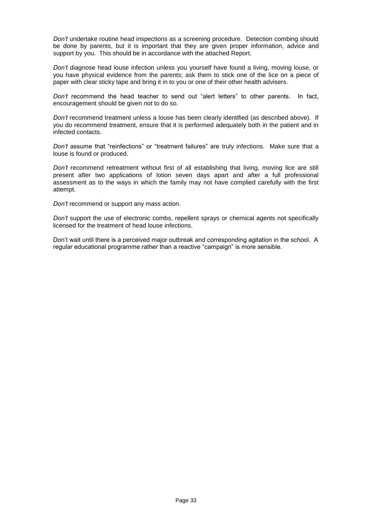*Don't* undertake routine head inspections as a screening procedure. Detection combing should be done by parents, but it is important that they are given proper information, advice and support by you. This should be in accordance with the attached Report.

*Don't* diagnose head louse infection unless you yourself have found a living, moving louse, or you have physical evidence from the parents; ask them to stick one of the lice on a piece of paper with clear sticky tape and bring it in to you or one of their other health advisers.

*Don't* recommend the head teacher to send out "alert letters" to other parents. In fact, encouragement should be given *not* to do so.

*Don't* recommend treatment unless a louse has been clearly identified (as described above). If you do recommend treatment, ensure that it is performed adequately both in the patient and in infected contacts.

*Don't* assume that "reinfections" or "treatment failures" are truly infections. Make sure that a louse is found or produced.

*Don't* recommend retreatment without first of all establishing that living, moving lice are still present after two applications of lotion seven days apart and after a full professional assessment as to the ways in which the family may not have complied carefully with the first attempt.

*Don't* recommend or support any mass action.

*Don't* support the use of electronic combs, repellent sprays or chemical agents not specifically licensed for the treatment of head louse infections.

Don't wait until there is a perceived major outbreak and corresponding agitation in the school. A regular educational programme rather than a reactive "campaign" is more sensible.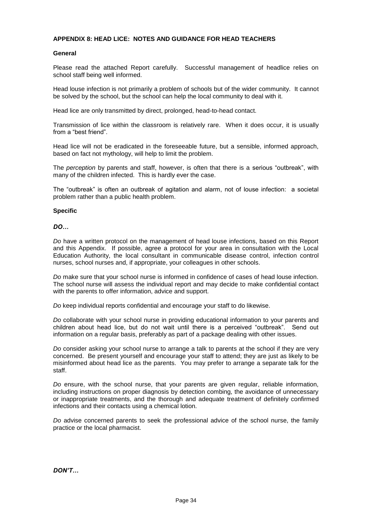# <span id="page-36-0"></span>**APPENDIX 8: HEAD LICE: NOTES AND GUIDANCE FOR HEAD TEACHERS**

## **General**

Please read the attached Report carefully. Successful management of headlice relies on school staff being well informed.

Head louse infection is not primarily a problem of schools but of the wider community. It cannot be solved by the school, but the school can help the local community to deal with it.

Head lice are only transmitted by direct, prolonged, head-to-head contact.

Transmission of lice within the classroom is relatively rare. When it does occur, it is usually from a "best friend".

Head lice will not be eradicated in the foreseeable future, but a sensible, informed approach, based on fact not mythology, will help to limit the problem.

The *perception* by parents and staff, however, is often that there is a serious "outbreak", with many of the children infected. This is hardly ever the case.

The "outbreak" is often an outbreak of agitation and alarm, not of louse infection: a societal problem rather than a public health problem.

# **Specific**

*DO…*

*Do* have a written protocol on the management of head louse infections, based on this Report and this Appendix. If possible, agree a protocol for your area in consultation with the Local Education Authority, the local consultant in communicable disease control, infection control nurses, school nurses and, if appropriate, your colleagues in other schools.

*Do* make sure that your school nurse is informed in confidence of cases of head louse infection. The school nurse will assess the individual report and may decide to make confidential contact with the parents to offer information, advice and support.

*Do* keep individual reports confidential and encourage your staff to do likewise.

*Do* collaborate with your school nurse in providing educational information to your parents and children about head lice, but do not wait until there is a perceived "outbreak". Send out information on a regular basis, preferably as part of a package dealing with other issues.

*Do* consider asking your school nurse to arrange a talk to parents at the school if they are very concerned. Be present yourself and encourage your staff to attend; they are just as likely to be misinformed about head lice as the parents. You may prefer to arrange a separate talk for the staff.

*Do* ensure, with the school nurse, that your parents are given regular, reliable information, including instructions on proper diagnosis by detection combing, the avoidance of unnecessary or inappropriate treatments, and the thorough and adequate treatment of definitely confirmed infections and their contacts using a chemical lotion.

*Do* advise concerned parents to seek the professional advice of the school nurse, the family practice or the local pharmacist.

*DON'T…*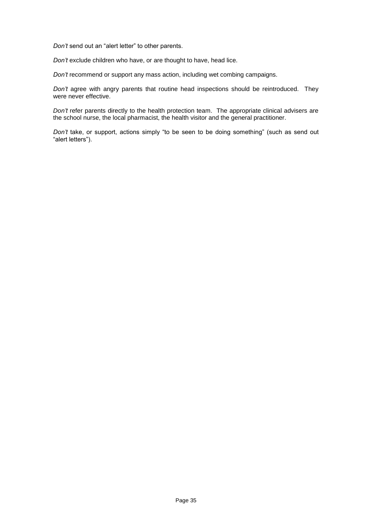*Don't* send out an "alert letter" to other parents.

*Don't* exclude children who have, or are thought to have, head lice.

*Don't* recommend or support any mass action, including wet combing campaigns.

*Don't* agree with angry parents that routine head inspections should be reintroduced. They were never effective.

*Don't* refer parents directly to the health protection team. The appropriate clinical advisers are the school nurse, the local pharmacist, the health visitor and the general practitioner.

*Don't* take, or support, actions simply "to be seen to be doing something" (such as send out "alert letters").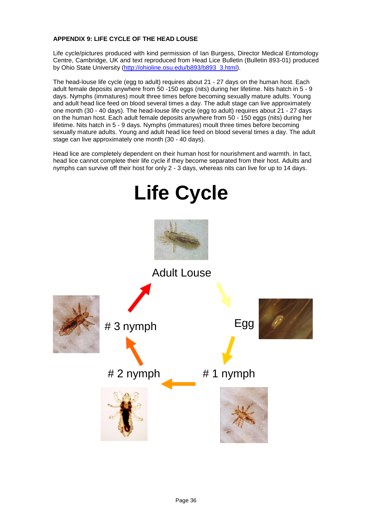# <span id="page-38-0"></span>**APPENDIX 9: LIFE CYCLE OF THE HEAD LOUSE**

Life cycle/pictures produced with kind permission of Ian Burgess, Director Medical Entomology Centre, Cambridge, UK and text reproduced from Head Lice Bulletin (Bulletin 893-01) produced by Ohio State University [\(http://ohioline.osu.edu/b893/b893\\_3.html\)](http://ohioline.osu.edu/b893/b893_3.html).

The head-louse life cycle (egg to adult) requires about 21 - 27 days on the human host. Each adult female deposits anywhere from 50 -150 eggs (nits) during her lifetime. Nits hatch in 5 - 9 days. Nymphs (immatures) moult three times before becoming sexually mature adults. Young and adult head lice feed on blood several times a day. The adult stage can live approximately one month (30 - 40 days). The head-louse life cycle (egg to adult) requires about 21 - 27 days on the human host. Each adult female deposits anywhere from 50 - 150 eggs (nits) during her lifetime. Nits hatch in 5 - 9 days. Nymphs (immatures) moult three times before becoming sexually mature adults. Young and adult head lice feed on blood several times a day. The adult stage can live approximately one month (30 - 40 days).

Head lice are completely dependent on their human host for nourishment and warmth. In fact, head lice cannot complete their life cycle if they become separated from their host. Adults and nymphs can survive off their host for only 2 - 3 days, whereas nits can live for up to 14 days.

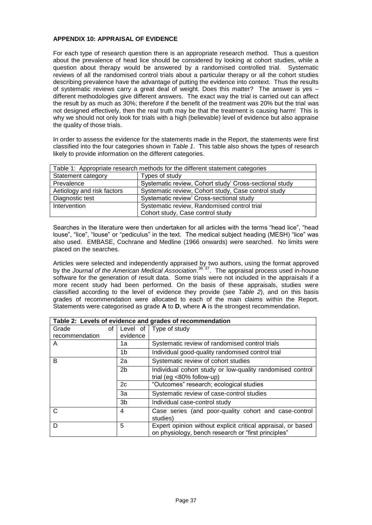# <span id="page-39-0"></span>**APPENDIX 10: APPRAISAL OF EVIDENCE**

For each type of research question there is an appropriate research method. Thus a question about the prevalence of head lice should be considered by looking at cohort studies, while a question about therapy would be answered by a randomised controlled trial. Systematic reviews of all the randomised control trials about a particular therapy or all the cohort studies describing prevalence have the advantage of putting the evidence into context. Thus the results of systematic reviews carry a great deal of weight. Does this matter? The answer is yes – different methodologies give different answers. The exact way the trial is carried out can affect the result by as much as 30%; therefore if the benefit of the treatment was 20% but the trial was not designed effectively, then the real truth may be that the treatment is causing harm! This is why we should not only look for trials with a high (believable) level of evidence but also appraise the quality of those trials.

In order to assess the evidence for the statements made in the Report, the statements were first classified into the four categories shown in *Table 1*. This table also shows the types of research likely to provide information on the different categories.

| Table 1: Appropriate research methods for the different statement categories |                                                        |  |  |
|------------------------------------------------------------------------------|--------------------------------------------------------|--|--|
| Statement category                                                           | Types of study                                         |  |  |
| Prevalence                                                                   | Systematic review, Cohort study' Cross-sectional study |  |  |
| Aetiology and risk factors                                                   | Systematic review, Cohort study, Case control study    |  |  |
| Diagnostic test                                                              | Systematic review' Cross-sectional study               |  |  |
| Intervention                                                                 | Systematic review, Randomised control trial            |  |  |
|                                                                              | Cohort study, Case control study                       |  |  |

Searches in the literature were then undertaken for all articles with the terms "head lice", "head louse", "lice", "louse" or "pediculus" in the text. The medical subject heading (MESH) "lice" was also used. EMBASE, Cochrane and Medline (1966 onwards) were searched. No limits were placed on the searches.

Articles were selected and independently appraised by two authors, using the format approved by the *Journal of the American Medical Association*.<sup>36'37</sup>. The appraisal process used in-house software for the generation of result data. Some trials were not included in the appraisals if a more recent study had been performed. On the basis of these appraisals, studies were classified according to the level of evidence they provide (see *Table 2*), and on this basis grades of recommendation were allocated to each of the main claims within the Report. Statements were categorised as grade **A** to **D**, where **A** is the strongest recommendation.

|                |                | Table 2: Levels of evidence and grades of recommendation                                                            |
|----------------|----------------|---------------------------------------------------------------------------------------------------------------------|
| Grade<br>οf    | Level of       | Type of study                                                                                                       |
| recommendation | evidence       |                                                                                                                     |
| A              | 1a             | Systematic review of randomised control trials                                                                      |
|                | 1b             | Individual good-quality randomised control trial                                                                    |
| B              | 2a             | Systematic review of cohort studies                                                                                 |
|                | 2 <sub>b</sub> | Individual cohort study or low-quality randomised control<br>trial (eg < $80\%$ follow-up)                          |
|                | 2c             | "Outcomes" research; ecological studies                                                                             |
|                | За             | Systematic review of case-control studies                                                                           |
|                | 3b             | Individual case-control study                                                                                       |
| С              | 4              | Case series (and poor-quality cohort and case-control<br>studies)                                                   |
| D              | 5              | Expert opinion without explicit critical appraisal, or based<br>on physiology, bench research or "first principles" |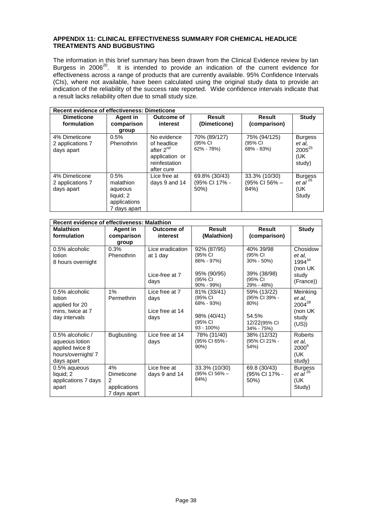# <span id="page-40-0"></span>**APPENDIX 11: CLINICAL EFFECTIVENESS SUMMARY FOR CHEMICAL HEADLICE TREATMENTS AND BUGBUSTING**

The information in this brief summary has been drawn from the Clinical Evidence review by Ian Burgess in  $2006^{20}$ . It is intended to provide an indication of the current evidence for effectiveness across a range of products that are currently available. 95% Confidence Intervals (CIs), where not available, have been calculated using the original study data to provide an indication of the reliability of the success rate reported. Wide confidence intervals indicate that a result lacks reliability often due to small study size.

| <b>Recent evidence of effectiveness: Dimeticone</b> |                                                                           |                                                                                               |                                           |                                           |                                                                  |  |  |
|-----------------------------------------------------|---------------------------------------------------------------------------|-----------------------------------------------------------------------------------------------|-------------------------------------------|-------------------------------------------|------------------------------------------------------------------|--|--|
| <b>Dimeticone</b><br>formulation                    | <b>Agent in</b><br>comparison<br>group                                    | Outcome of<br>interest                                                                        | <b>Result</b><br>(Dimeticone)             | Result<br>(comparison)                    | Study                                                            |  |  |
| 4% Dimeticone<br>2 applications 7<br>days apart     | 0.5%<br>Phenothrin                                                        | No evidence<br>of headlice<br>after $2^{nd}$<br>application or<br>reinfestation<br>after cure | 70% (89/127)<br>(95% CI<br>$62\% - 78\%)$ | 75% (94/125)<br>(95% CI<br>$68\% - 83\%)$ | <b>Burgess</b><br>et al.<br>2005 <sup>25</sup><br>(UK)<br>study) |  |  |
| 4% Dimeticone<br>2 applications 7<br>days apart     | 0.5%<br>malathion<br>aqueous<br>liquid; 2<br>applications<br>7 days apart | Lice free at<br>days 9 and 14                                                                 | 69.8% (30/43)<br>(95% CI 17% -<br>$50\%$  | 33.3% (10/30)<br>(95% CI 56% –<br>84%)    | <b>Burgess</b><br>et al $^{26}$<br>(UK)<br>Study                 |  |  |

| <b>Recent evidence of effectiveness: Malathion</b>                                       |                                                                   |                                                   |                                                                                     |                                                                             |                                                               |  |
|------------------------------------------------------------------------------------------|-------------------------------------------------------------------|---------------------------------------------------|-------------------------------------------------------------------------------------|-----------------------------------------------------------------------------|---------------------------------------------------------------|--|
| <b>Malathion</b><br>formulation                                                          | Agent in<br>comparison                                            | Outcome of<br>interest                            | Result<br>(Malathion)                                                               | Result<br>(comparison)                                                      | <b>Study</b>                                                  |  |
|                                                                                          | group                                                             |                                                   |                                                                                     |                                                                             |                                                               |  |
| 0.5% alcoholic<br>lotion<br>8 hours overnight                                            | 0.3%<br>Phenothrin                                                | Lice eradication<br>at 1 day                      | 92% (87/95)<br>(95% CI<br>$86\% - 97\%)$                                            | 40% 39/98<br>(95% CI<br>$30\% - 50\%)$                                      | Chosidow<br>et al,<br>$1994^{34}$<br>(non UK)                 |  |
|                                                                                          |                                                                   | Lice-free at 7<br>days                            | 95% (90/95)<br>(95% CI<br>$90\% - 99\%)$                                            | 39% (38/98)<br>(95% CI<br>29% - 48%)                                        | study<br>(France))                                            |  |
| 0.5% alcoholic<br>lotion<br>applied for 20<br>mins, twice at 7<br>day intervals          | 1%<br>Permethrin                                                  | Lice free at 7<br>days<br>Lice free at 14<br>days | 81% (33/41)<br>(95% CI<br>$68\% - 93\%)$<br>98% (40/41)<br>(95% CI<br>$93 - 100\%)$ | 59% (13/22)<br>(95% CI 39% -<br>80%)<br>54.5%<br>12/22(95% CI<br>34% - 75%) | Meinking<br>et al,<br>$2004^{28}$<br>(non UK<br>study<br>(US) |  |
| 0.5% alcoholic /<br>aqueous lotion<br>applied twice 8<br>hours/overnight/7<br>days apart | <b>Bugbusting</b>                                                 | Lice free at 14<br>days                           | 78% (31/40)<br>(95% CI 65% -<br>$90\%$                                              | 38% (12/32)<br>(95% CI 21% -<br>54%)                                        | <b>Roberts</b><br>et al,<br>$2000^6$<br>(UK<br>study)         |  |
| 0.5% aqueous<br>liquid; 2<br>applications 7 days<br>apart                                | 4%<br>Dimeticone<br>$\mathcal{P}$<br>applications<br>7 days apart | Lice free at<br>days 9 and 14                     | 33.3% (10/30)<br>(95% CI 56% –<br>84%)                                              | 69.8 (30/43)<br>(95% CI 17% -<br>50%)                                       | <b>Burgess</b><br>et al $^{26}$<br>(UK<br>Study)              |  |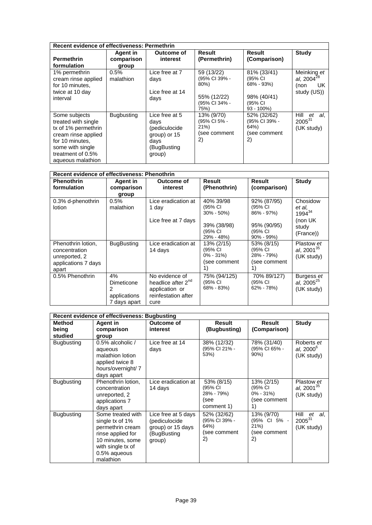| <b>Recent evidence of effectiveness: Permethrin</b>                                                                                                                 |                                 |                                                                                          |                                                                             |                                                                                 |                                                             |  |
|---------------------------------------------------------------------------------------------------------------------------------------------------------------------|---------------------------------|------------------------------------------------------------------------------------------|-----------------------------------------------------------------------------|---------------------------------------------------------------------------------|-------------------------------------------------------------|--|
| <b>Permethrin</b><br>formulation                                                                                                                                    | Agent in<br>comparison<br>group | Outcome of<br>interest                                                                   | Result<br>(Permethrin)                                                      | Result<br>(Comparison)                                                          | <b>Study</b>                                                |  |
| 1% permethrin<br>cream rinse applied<br>for 10 minutes.<br>twice at 10 day<br>interval                                                                              | 0.5%<br>malathion               | Lice free at 7<br>days<br>Lice free at 14<br>days                                        | 59 (13/22)<br>(95% CI 39% -<br>80%)<br>55% (12/22)<br>(95% CI 34% -<br>75%) | 81% (33/41)<br>(95% CI<br>68% - 93%)<br>98% (40/41)<br>(95% CI<br>$93 - 100\%)$ | Meinking et<br>al, $2004^{28}$<br>UK<br>(non<br>study (US)) |  |
| Some subjects<br>treated with single<br>tx of 1% permethrin<br>cream rinse applied<br>for 10 minutes.<br>some with single<br>treatment of 0.5%<br>aqueous malathion | <b>Bugbusting</b>               | Lice free at 5<br>days<br>(pediculocide<br>group) or 15<br>days<br>(BugBusting<br>group) | 13% (9/70)<br>(95% CI 5% -<br>21%<br>(see comment<br>2)                     | 52% (32/62)<br>(95% CI 39% -<br>64%)<br>(see comment<br>2)                      | Hill<br>et<br>-al.<br>$2005^{31}$<br>(UK study)             |  |

| Recent evidence of effectiveness: Phenothrin                                         |                                                       |                                                                                                   |                                                                                |                                                                                      |                                                                     |  |
|--------------------------------------------------------------------------------------|-------------------------------------------------------|---------------------------------------------------------------------------------------------------|--------------------------------------------------------------------------------|--------------------------------------------------------------------------------------|---------------------------------------------------------------------|--|
| <b>Phenothrin</b><br>formulation                                                     | Agent in<br>comparison<br>group                       | <b>Outcome of</b><br>interest                                                                     | Result<br>(Phenothrin)                                                         | Result<br>(comparison)                                                               | Study                                                               |  |
| 0.3% d-phenothrin<br>lotion                                                          | 0.5%<br>malathion                                     | Lice eradication at<br>1 day<br>Lice free at 7 days                                               | 40% 39/98<br>(95% CI<br>$30\% - 50\%)$<br>39% (38/98)<br>(95% CI<br>29% - 48%) | 92% (87/95)<br>(95% CI<br>$86\% - 97\%)$<br>95% (90/95)<br>(95% CI<br>$90\% - 99\%)$ | Chosidow<br>et al.<br>$1994^{34}$<br>(non UK)<br>study<br>(France)) |  |
| Phenothrin lotion,<br>concentration<br>unreported, 2<br>applications 7 days<br>apart | <b>BugBusting</b>                                     | Lice eradication at<br>14 days                                                                    | 13% (2/15)<br>(95% CI<br>$0\% - 31\%)$<br>(see comment<br>1)                   | 53% (8/15)<br>(95% CI<br>28% - 79%)<br>(see comment<br>1)                            | Plastow et<br>al, $2001^{35}$<br>(UK study)                         |  |
| 0.5% Phenothrin                                                                      | 4%<br>Dimeticone<br>2<br>applications<br>7 days apart | No evidence of<br>headlice after 2 <sup>nd</sup><br>application or<br>reinfestation after<br>cure | 75% (94/125)<br>(95% CI<br>68% - 83%)                                          | 70% 89/127)<br>(95% CI<br>62% - 78%)                                                 | Burgess et<br>al, $2005^{25}$<br>(UK study)                         |  |

| <b>Recent evidence of effectiveness: Bugbusting</b> |                                                                                                                                                     |                                                                                    |                                                            |                                                              |                                                |
|-----------------------------------------------------|-----------------------------------------------------------------------------------------------------------------------------------------------------|------------------------------------------------------------------------------------|------------------------------------------------------------|--------------------------------------------------------------|------------------------------------------------|
| <b>Method</b><br>being<br>studied                   | Agent in<br>comparison<br>group                                                                                                                     | Outcome of<br>interest                                                             | Result<br>(Bugbusting)                                     | Result<br>(Comparison)                                       | Study                                          |
| <b>Bugbusting</b>                                   | 0.5% alcoholic /<br>aqueous<br>malathion lotion<br>applied twice 8<br>hours/overnight/7<br>days apart                                               | Lice free at 14<br>days                                                            | 38% (12/32)<br>(95% CI 21% -<br>53%)                       | 78% (31/40)<br>(95% CI 65% -<br>$90\%$                       | Roberts et<br>al, $2000^{\circ}$<br>(UK study) |
| <b>Bugbusting</b>                                   | Phenothrin lotion,<br>concentration<br>unreported, 2<br>applications 7<br>days apart                                                                | Lice eradication at<br>14 days                                                     | 53% (8/15)<br>(95% CI<br>28% - 79%)<br>(see<br>comment 1)  | 13% (2/15)<br>(95% CI<br>$0\% - 31\%)$<br>(see comment<br>1) | Plastow et<br>al, $2001^{35}$<br>(UK study)    |
| <b>Bugbusting</b>                                   | Some treated with<br>single tx of 1%<br>permethrin cream<br>rinse applied for<br>10 minutes, some<br>with single tx of<br>0.5% aqueous<br>malathion | Lice free at 5 days<br>(pediculocide<br>group) or 15 days<br>(BugBusting<br>group) | 52% (32/62)<br>(95% CI 39% -<br>64%)<br>(see comment<br>2) | 13% (9/70)<br>(95% CI 5% -<br>21%<br>(see comment<br>2)      | Hill<br>et<br>al.<br>$2005^{31}$<br>(UK study) |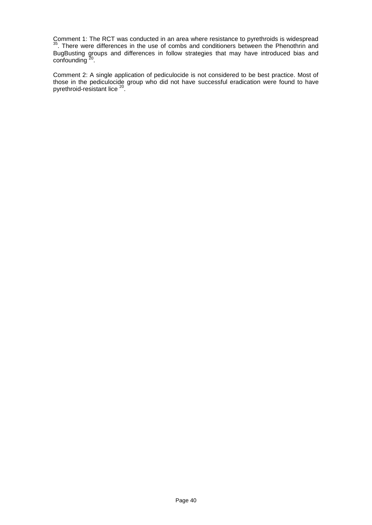Comment 1: The RCT was conducted in an area where resistance to pyrethroids is widespread <sup>35</sup>. There were differences in the use of combs and conditioners between the Phenothrin and BugBusting groups and differences in follow strategies that may have introduced bias and  $\frac{1}{20}$ .

Comment 2: A single application of pediculocide is not considered to be best practice. Most of those in the pediculocide group who did not have successful eradication were found to have pyrethroid-resistant lice<sup>20</sup>.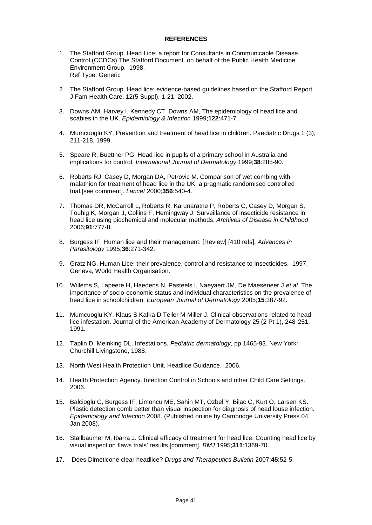# **REFERENCES**

- <span id="page-43-0"></span>1. The Stafford Group. Head Lice: a report for Consultants in Communicable Disease Control (CCDCs) The Stafford Document. on behalf of the Public Health Medicine Environment Group. 1998. Ref Type: Generic
- 2. The Stafford Group. Head lice: evidence-based guidelines based on the Stafford Report. J Fam Health Care. 12(5 Suppl), 1-21. 2002.
- 3. Downs AM, Harvey I, Kennedy CT, Downs AM, The epidemiology of head lice and scabies in the UK. *Epidemiology & Infection* 1999;**122**:471-7.
- 4. Mumcuoglu KY. Prevention and treatment of head lice in children. Paediatric Drugs 1 (3), 211-218. 1999.
- 5. Speare R, Buettner PG. Head lice in pupils of a primary school in Australia and implications for control. *International Journal of Dermatology* 1999;**38**:285-90.
- 6. Roberts RJ, Casey D, Morgan DA, Petrovic M. Comparison of wet combing with malathion for treatment of head lice in the UK: a pragmatic randomised controlled trial.[see comment]. *Lancet* 2000;**356**:540-4.
- 7. Thomas DR, McCarroll L, Roberts R, Karunaratne P, Roberts C, Casey D, Morgan S, Touhig K, Morgan J, Collins F, Hemingway J. Surveillance of insecticide resistance in head lice using biochemical and molecular methods. *Archives of Disease in Childhood* 2006;**91**:777-8.
- 8. Burgess IF. Human lice and their management. [Review] [410 refs]. *Advances in Parasitology* 1995;**36**:271-342.
- 9. Gratz NG. Human Lice: their prevalence, control and resistance to Insecticides. 1997. Geneva, World Health Organisation.
- 10. Willems S, Lapeere H, Haedens N, Pasteels I, Naeyaert JM, De Maeseneer J *et al*. The importance of socio-economic status and individual characteristics on the prevalence of head lice in schoolchildren. *European Journal of Dermatology* 2005;**15**:387-92.
- 11. Mumcuoglu KY, Klaus S Kafka D Teiler M Miller J. Clinical observations related to head lice infestation. Journal of the American Academy of Dermatology 25 (2 Pt 1), 248-251. 1991.
- 12. Taplin D, Meinking DL. Infestations. *Pediatric dermatology*, pp 1465-93. New York: Churchill Livingstone, 1988.
- 13. North West Health Protection Unit. Headlice Guidance. 2006.
- 14. Health Protection Agency. Infection Control in Schools and other Child Care Settings. 2006.
- 15. Balcioglu C, Burgess IF, Limoncu ME, Sahin MT, Ozbel Y, Bilac C, Kurt O, Larsen KS. Plastic detection comb better than visual inspection for diagnosis of head louse infection. *Epidemiology and Infection* 2008. (Published online by Cambridge University Press 04 Jan 2008).
- 16. Stallbaumer M, Ibarra J. Clinical efficacy of treatment for head lice. Counting head lice by visual inspection flaws trials' results.[comment]. *BMJ* 1995;**311**:1369-70.
- 17. Does Dimeticone clear headlice? *Drugs and Therapeutics Bulletin* 2007;**45**:52-5.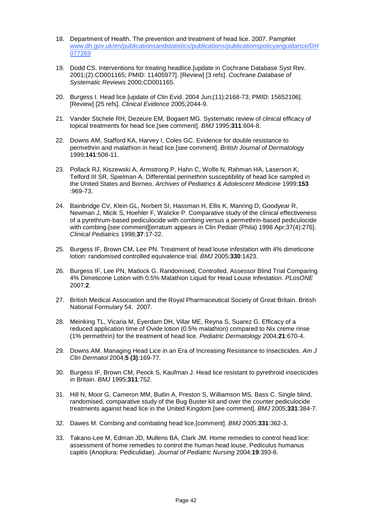- 18. Department of Health. The prevention and treatment of head lice. 2007. Pamphlet [www.dh.gov.uk/en/publicationsa](http://www.dh.gov.uk/en/publications)ndstatistics/publications/publicationspolicyanguidance/DH 077269
- 19. Dodd CS. Interventions for treating headlice.[update in Cochrane Database Syst Rev. 2001;(2):CD001165; PMID: 11405977]. [Review] [3 refs]. *Cochrane Database of Systematic Reviews* 2000;CD001165.
- 20. Burgess I. Head lice.[update of Clin Evid. 2004 Jun;(11):2168-73; PMID: 15652106]. [Review] [25 refs]. *Clinical Evidence* 2005;2044-9.
- 21. Vander Stichele RH, Dezeure EM, Bogaert MG. Systematic review of clinical efficacy of topical treatments for head lice.[see comment]. *BMJ* 1995;**311**:604-8.
- 22. Downs AM, Stafford KA, Harvey I, Coles GC. Evidence for double resistance to permethrin and malathion in head lice.[see comment]. *British Journal of Dermatology* 1999;**141**:508-11.
- 23. Pollack RJ, Kiszewski A, Armstrong P, Hahn C, Wolfe N, Rahman HA, Laserson K, Telford III SR, Spielman A. Differential permethrin susceptibility of head lice sampled in the United States and Borneo. *Archives of Pediatrics & Adolescent Medicine* 1999;**153** :969-73.
- 24. Bainbridge CV, Klein GL, Norbert SI, Hassman H, Ellis K, Manring D, Goodyear R, Newman J, Micik S, Hoehler F, Walicke P. Comparative study of the clinical effectiveness of a pyrethrum-based pediculocide with combing versus a permethrin-based pediculocide with combing. [see comment][erratum appears in Clin Pediatr (Phila) 1998 Apr: 37(4): 276]. *Clinical Pediatrics* 1998;**37**:17-22.
- 25. Burgess IF, Brown CM, Lee PN. Treatment of head louse infestation with 4% dimeticone lotion: randomised controlled equivalence trial. *BMJ* 2005;**330**:1423.
- 26. Burgess IF, Lee PN, Matlock G. Randomised, Controlled, Assessor Blind Trial Comparing 4% Dimeticone Lotion with 0.5% Malathion Liquid for Head Louse Infestation. *PLosONE* 2007;**2**.
- 27. British Medical Association and the Royal Pharmaceutical Society of Great Britain. British National Formulary 54. 2007.
- 28. Meinking TL, Vicaria M, Eyerdam DH, Villar ME, Reyna S, Suarez G. Efficacy of a reduced application time of Ovide lotion (0.5% malathion) compared to Nix creme rinse (1% permethrin) for the treatment of head lice. *Pediatric Dermatology* 2004;**21**:670-4.
- 29. Downs AM. Managing Head Lice in an Era of Increasing Resistance to Insecticides. *Am J Clin Dermatol* 2004;**5 (3)**:169-77.
- 30. Burgess IF, Brown CM, Peock S, Kaufman J. Head lice resistant to pyrethroid insecticides in Britain. *BMJ* 1995;**311**:752.
- 31. Hill N, Moor G, Cameron MM, Butlin A, Preston S, Williamson MS, Bass C. Single blind, randomised, comparative study of the Bug Buster kit and over the counter pediculocide treatments against head lice in the United Kingdom.[see comment]. *BMJ* 2005;**331**:384-7.
- 32. Dawes M. Combing and combating head lice.[comment]. *BMJ* 2005;**331**:362-3.
- 33. Takano-Lee M, Edman JD, Mullens BA, Clark JM. Home remedies to control head lice: assessment of home remedies to control the human head louse, Pediculus humanus capitis (Anoplura: Pediculidae). *Journal of Pediatric Nursing* 2004;**19**:393-8.